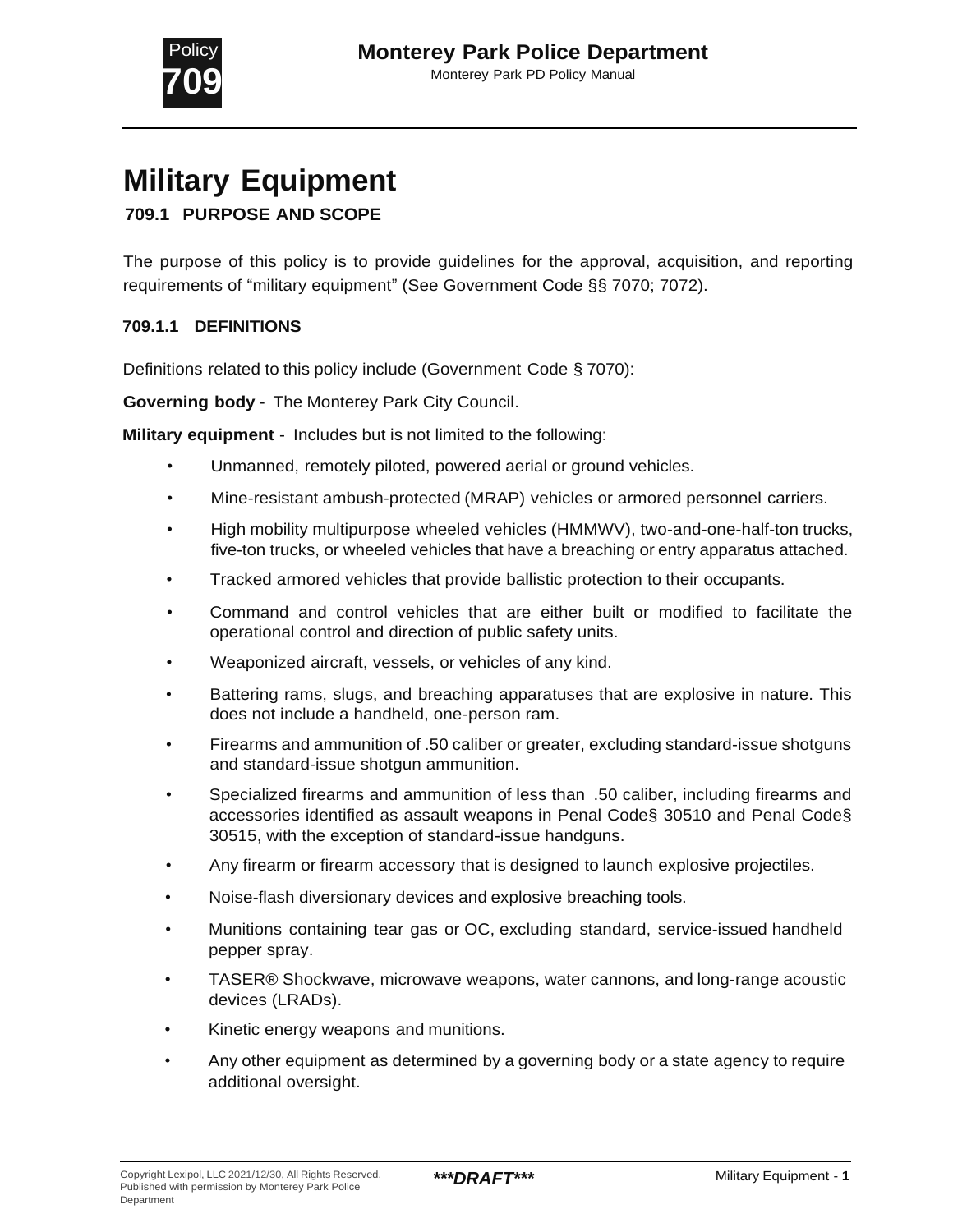

# **Military Equipment**

# **709.1 PURPOSE AND SCOPE**

The purpose of this policy is to provide guidelines for the approval, acquisition, and reporting requirements of "military equipment" (See Government Code §§ 7070; 7072).

#### **709.1.1 DEFINITIONS**

Definitions related to this policy include (Government Code § 7070):

**Governing body** - The Monterey Park City Council.

**Military equipment** - Includes but is not limited to the following:

- Unmanned, remotely piloted, powered aerial or ground vehicles.
- Mine-resistant ambush-protected (MRAP) vehicles or armored personnel carriers.
- High mobility multipurpose wheeled vehicles (HMMWV), two-and-one-half-ton trucks, five-ton trucks, or wheeled vehicles that have a breaching or entry apparatus attached.
- Tracked armored vehicles that provide ballistic protection to their occupants.
- Command and control vehicles that are either built or modified to facilitate the operational control and direction of public safety units.
- Weaponized aircraft, vessels, or vehicles of any kind.
- Battering rams, slugs, and breaching apparatuses that are explosive in nature. This does not include a handheld, one-person ram.
- Firearms and ammunition of .50 caliber or greater, excluding standard-issue shotguns and standard-issue shotgun ammunition.
- Specialized firearms and ammunition of less than .50 caliber, including firearms and accessories identified as assault weapons in Penal Code§ 30510 and Penal Code§ 30515, with the exception of standard-issue handguns.
- Any firearm or firearm accessory that is designed to launch explosive projectiles.
- Noise-flash diversionary devices and explosive breaching tools.
- Munitions containing tear gas or OC, excluding standard, service-issued handheld pepper spray.
- TASER® Shockwave, microwave weapons, water cannons, and long-range acoustic devices (LRADs).
- Kinetic energy weapons and munitions.
- Any other equipment as determined by a governing body or a state agency to require additional oversight.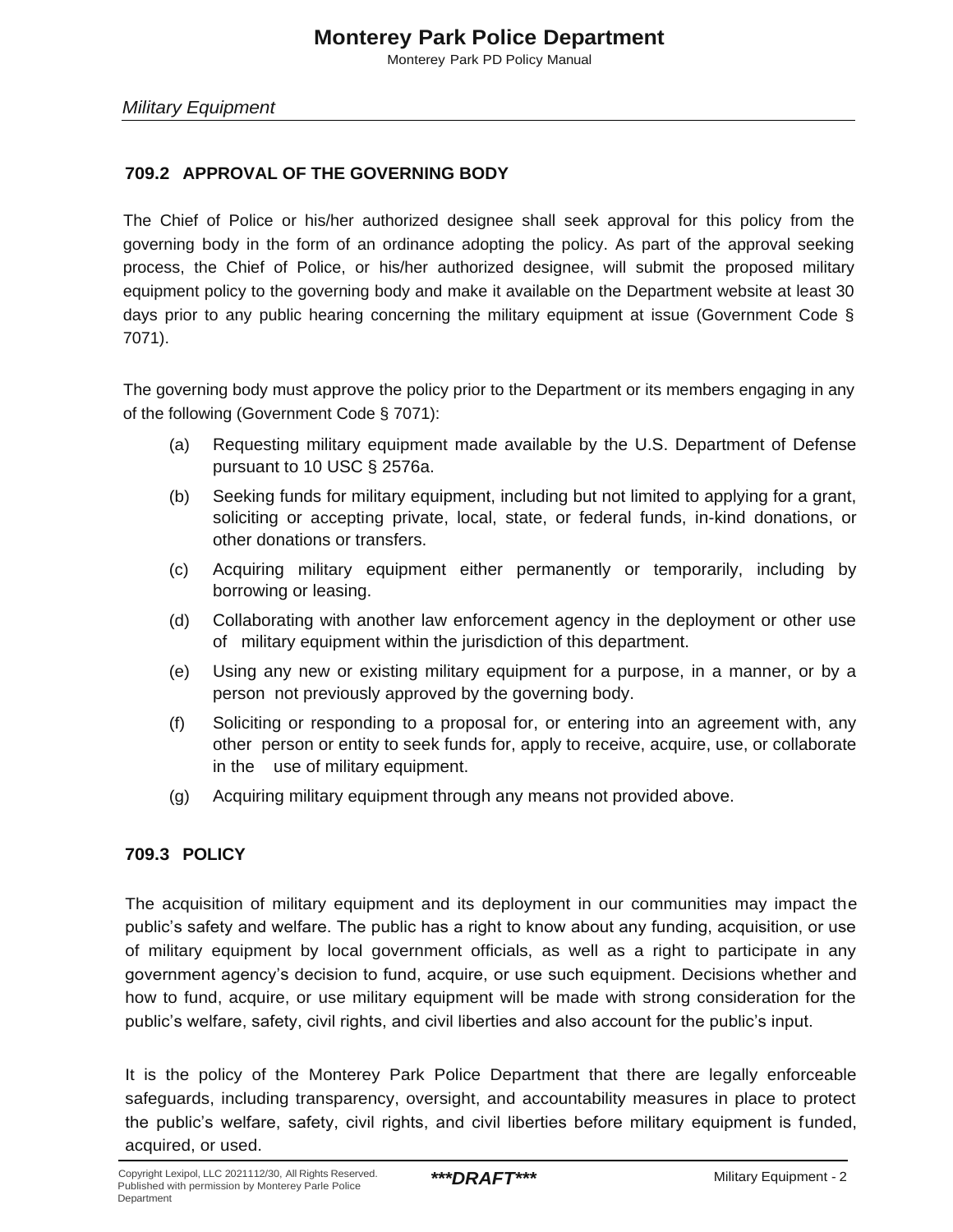Monterey Park PD Policy Manual

#### **709.2 APPROVAL OF THE GOVERNING BODY**

The Chief of Police or his/her authorized designee shall seek approval for this policy from the governing body in the form of an ordinance adopting the policy. As part of the approval seeking process, the Chief of Police, or his/her authorized designee, will submit the proposed military equipment policy to the governing body and make it available on the Department website at least 30 days prior to any public hearing concerning the military equipment at issue (Government Code § 7071).

The governing body must approve the policy prior to the Department or its members engaging in any of the following (Government Code § 7071):

- (a) Requesting military equipment made available by the U.S. Department of Defense pursuant to 10 USC § 2576a.
- (b) Seeking funds for military equipment, including but not limited to applying for a grant, soliciting or accepting private, local, state, or federal funds, in-kind donations, or other donations or transfers.
- (c) Acquiring military equipment either permanently or temporarily, including by borrowing or leasing.
- (d) Collaborating with another law enforcement agency in the deployment or other use of military equipment within the jurisdiction of this department.
- (e) Using any new or existing military equipment for a purpose, in a manner, or by a person not previously approved by the governing body.
- (f) Soliciting or responding to a proposal for, or entering into an agreement with, any other person or entity to seek funds for, apply to receive, acquire, use, or collaborate in the use of military equipment.
- (g) Acquiring military equipment through any means not provided above.

#### **709.3 POLICY**

The acquisition of military equipment and its deployment in our communities may impact the public's safety and welfare. The public has a right to know about any funding, acquisition, or use of military equipment by local government officials, as well as a right to participate in any government agency's decision to fund, acquire, or use such equipment. Decisions whether and how to fund, acquire, or use military equipment will be made with strong consideration for the public's welfare, safety, civil rights, and civil liberties and also account for the public's input.

It is the policy of the Monterey Park Police Department that there are legally enforceable safeguards, including transparency, oversight, and accountability measures in place to protect the public's welfare, safety, civil rights, and civil liberties before military equipment is funded, acquired, or used.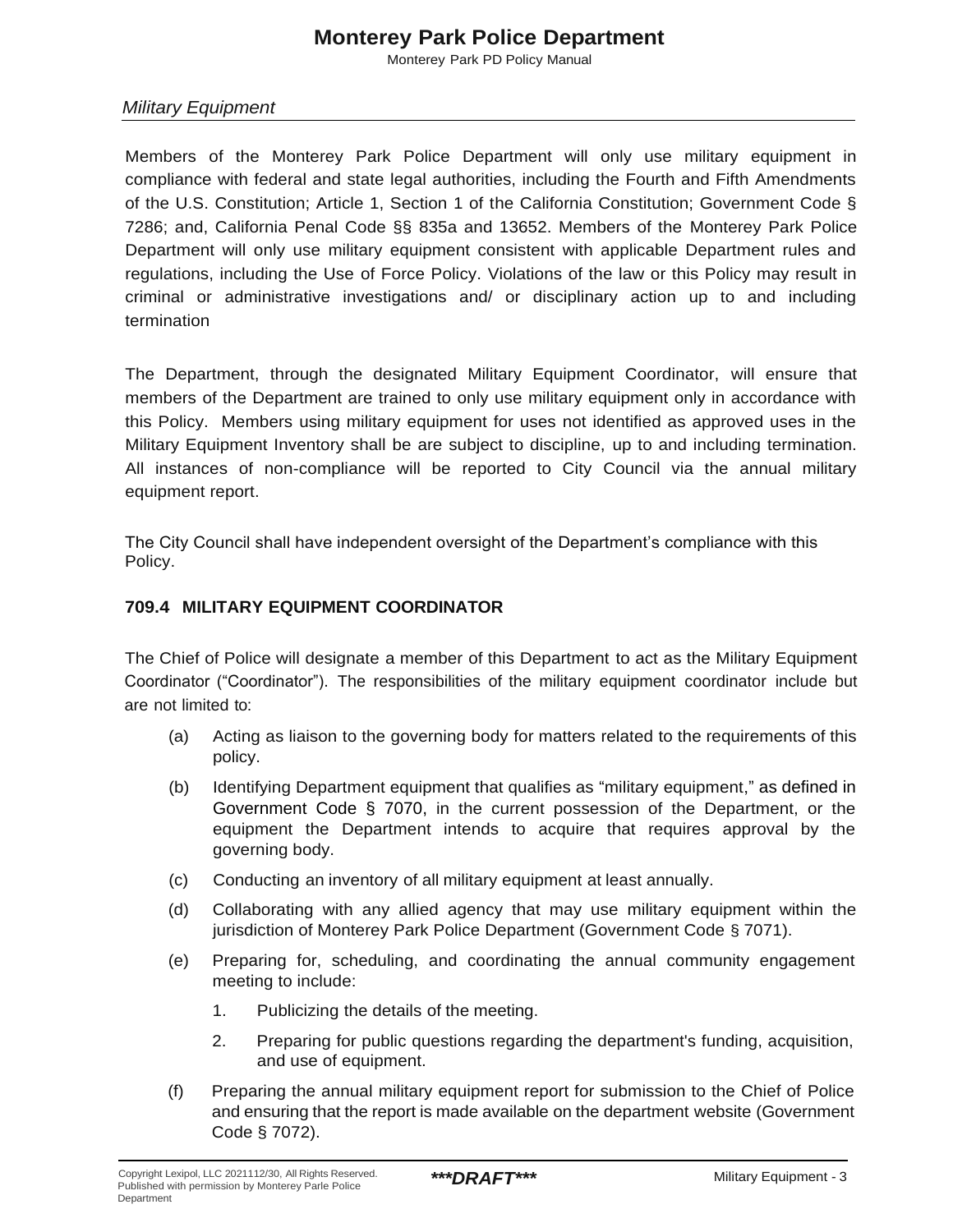# **Monterey Park Police Department**

Monterey Park PD Policy Manual

## *Military Equipment*

Members of the Monterey Park Police Department will only use military equipment in compliance with federal and state legal authorities, including the Fourth and Fifth Amendments of the U.S. Constitution; Article 1, Section 1 of the California Constitution; Government Code § 7286; and, California Penal Code §§ 835a and 13652. Members of the Monterey Park Police Department will only use military equipment consistent with applicable Department rules and regulations, including the Use of Force Policy. Violations of the law or this Policy may result in criminal or administrative investigations and/ or disciplinary action up to and including termination

The Department, through the designated Military Equipment Coordinator, will ensure that members of the Department are trained to only use military equipment only in accordance with this Policy. Members using military equipment for uses not identified as approved uses in the Military Equipment Inventory shall be are subject to discipline, up to and including termination. All instances of non-compliance will be reported to City Council via the annual military equipment report.

The City Council shall have independent oversight of the Department's compliance with this Policy.

#### **709.4 MILITARY EQUIPMENT COORDINATOR**

The Chief of Police will designate a member of this Department to act as the Military Equipment Coordinator ("Coordinator"). The responsibilities of the military equipment coordinator include but are not limited to:

- (a) Acting as liaison to the governing body for matters related to the requirements of this policy.
- (b) Identifying Department equipment that qualifies as "military equipment," as defined in Government Code § 7070, in the current possession of the Department, or the equipment the Department intends to acquire that requires approval by the governing body.
- (c) Conducting an inventory of all military equipment at least annually.
- (d) Collaborating with any allied agency that may use military equipment within the jurisdiction of Monterey Park Police Department (Government Code § 7071).
- (e) Preparing for, scheduling, and coordinating the annual community engagement meeting to include:
	- 1. Publicizing the details of the meeting.
	- 2. Preparing for public questions regarding the department's funding, acquisition, and use of equipment.
- (f) Preparing the annual military equipment report for submission to the Chief of Police and ensuring that the report is made available on the department website (Government Code § 7072).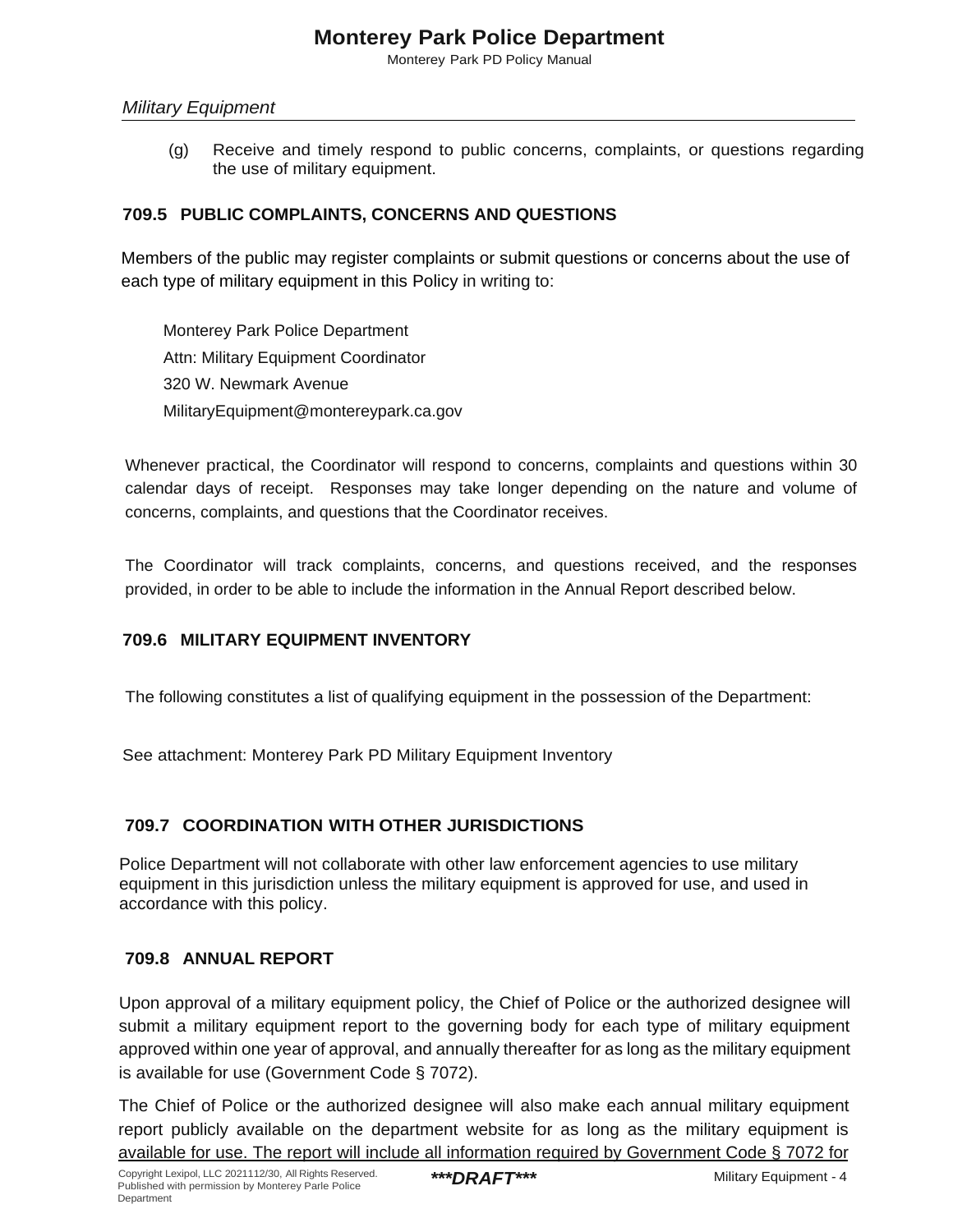Monterey Park PD Policy Manual

#### *Military Equipment*

(g) Receive and timely respond to public concerns, complaints, or questions regarding the use of military equipment.

## **709.5 PUBLIC COMPLAINTS, CONCERNS AND QUESTIONS**

Members of the public may register complaints or submit questions or concerns about the use of each type of military equipment in this Policy in writing to:

Monterey Park Police Department Attn: Military Equipment Coordinator 320 W. Newmark Avenue MilitaryEquipment@montereypark.ca.gov

Whenever practical, the Coordinator will respond to concerns, complaints and questions within 30 calendar days of receipt. Responses may take longer depending on the nature and volume of concerns, complaints, and questions that the Coordinator receives.

The Coordinator will track complaints, concerns, and questions received, and the responses provided, in order to be able to include the information in the Annual Report described below.

#### **709.6 MILITARY EQUIPMENT INVENTORY**

The following constitutes a list of qualifying equipment in the possession of the Department:

See attachment: Monterey Park PD Military Equipment Inventory

## **709.7 COORDINATION WITH OTHER JURISDICTIONS**

Police Department will not collaborate with other law enforcement agencies to use military equipment in this jurisdiction unless the military equipment is approved for use, and used in accordance with this policy.

#### **709.8 ANNUAL REPORT**

Upon approval of a military equipment policy, the Chief of Police or the authorized designee will submit a military equipment report to the governing body for each type of military equipment approved within one year of approval, and annually thereafter for as long as the military equipment is available for use (Government Code § 7072).

The Chief of Police or the authorized designee will also make each annual military equipment report publicly available on the department website for as long as the military equipment is available for use. The report will include all information required by Government Code § 7072 for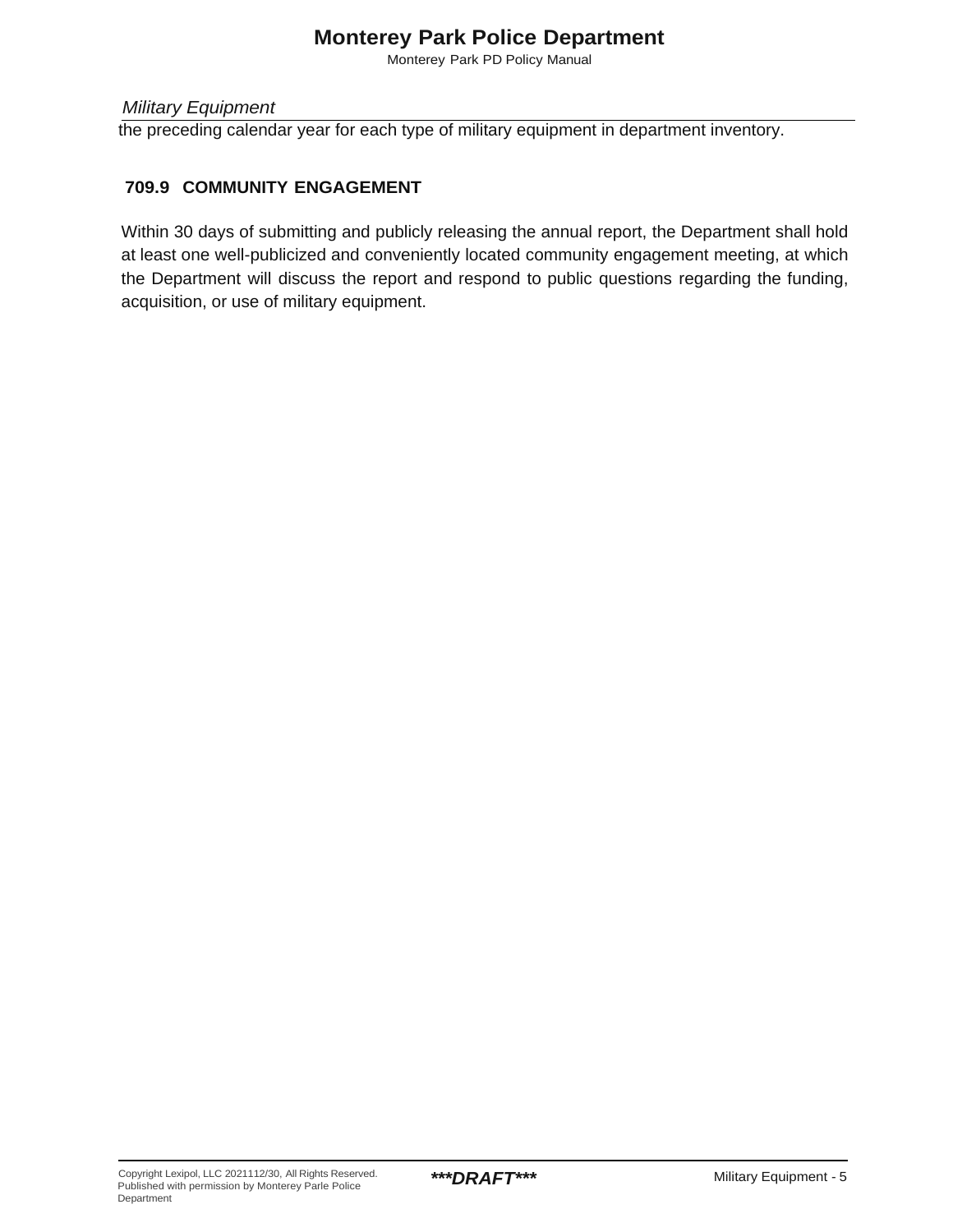# **Monterey Park Police Department**

Monterey Park PD Policy Manual

*Military Equipment*

the preceding calendar year for each type of military equipment in department inventory.

## **709.9 COMMUNITY ENGAGEMENT**

Within 30 days of submitting and publicly releasing the annual report, the Department shall hold at least one well-publicized and conveniently located community engagement meeting, at which the Department will discuss the report and respond to public questions regarding the funding, acquisition, or use of military equipment.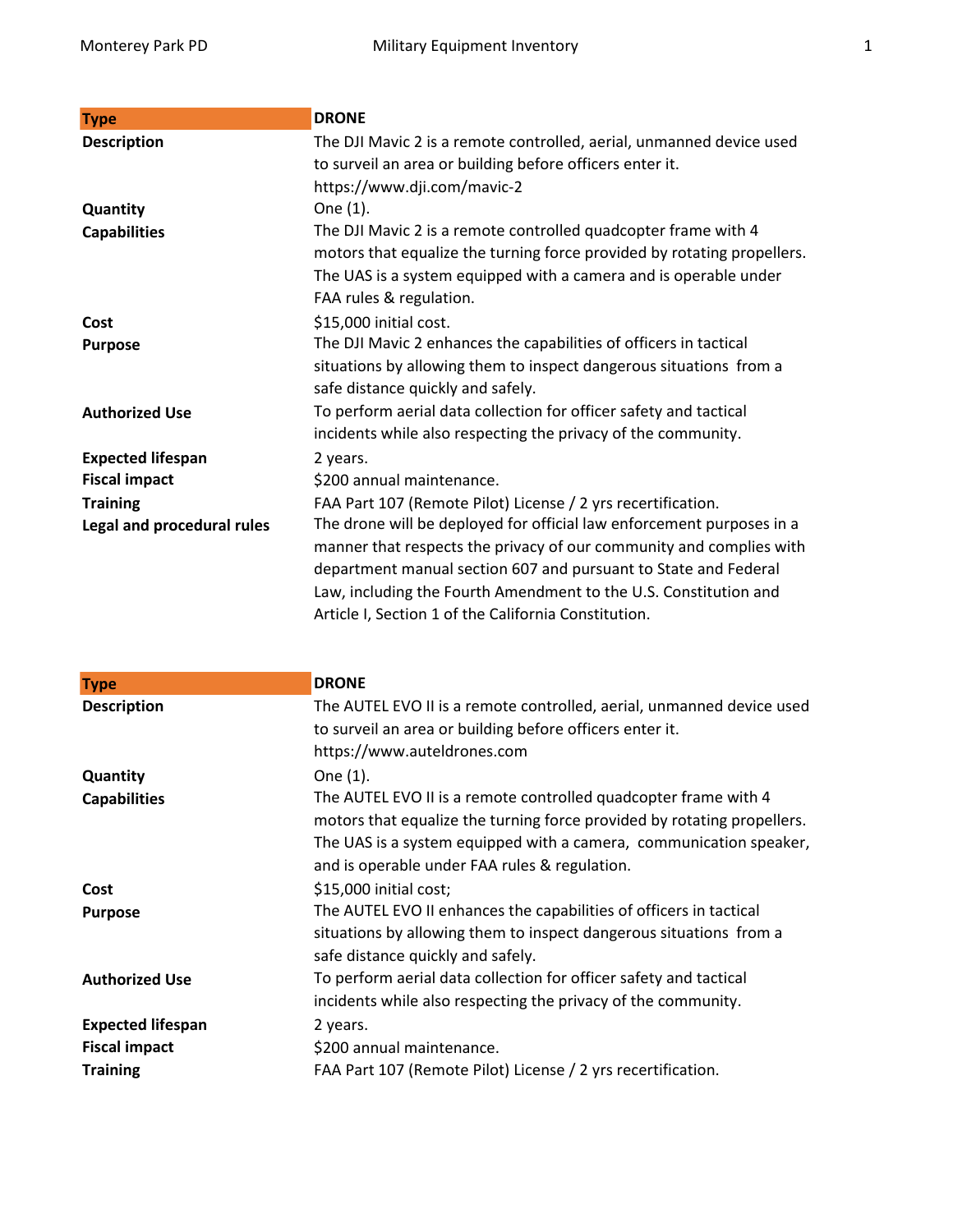| <b>Type</b>                | <b>DRONE</b>                                                            |
|----------------------------|-------------------------------------------------------------------------|
| <b>Description</b>         | The DJI Mavic 2 is a remote controlled, aerial, unmanned device used    |
|                            | to surveil an area or building before officers enter it.                |
|                            | https://www.dji.com/mavic-2                                             |
| Quantity                   | One (1).                                                                |
| <b>Capabilities</b>        | The DJI Mavic 2 is a remote controlled quadcopter frame with 4          |
|                            | motors that equalize the turning force provided by rotating propellers. |
|                            | The UAS is a system equipped with a camera and is operable under        |
|                            | FAA rules & regulation.                                                 |
| Cost                       | \$15,000 initial cost.                                                  |
| <b>Purpose</b>             | The DJI Mavic 2 enhances the capabilities of officers in tactical       |
|                            | situations by allowing them to inspect dangerous situations from a      |
|                            | safe distance quickly and safely.                                       |
| <b>Authorized Use</b>      | To perform aerial data collection for officer safety and tactical       |
|                            | incidents while also respecting the privacy of the community.           |
| <b>Expected lifespan</b>   | 2 years.                                                                |
| <b>Fiscal impact</b>       | \$200 annual maintenance.                                               |
| <b>Training</b>            | FAA Part 107 (Remote Pilot) License / 2 yrs recertification.            |
| Legal and procedural rules | The drone will be deployed for official law enforcement purposes in a   |
|                            | manner that respects the privacy of our community and complies with     |
|                            | department manual section 607 and pursuant to State and Federal         |
|                            | Law, including the Fourth Amendment to the U.S. Constitution and        |
|                            | Article I, Section 1 of the California Constitution.                    |

| <b>Type</b>                                                         | <b>DRONE</b>                                                                                                                                                                                                                                                      |
|---------------------------------------------------------------------|-------------------------------------------------------------------------------------------------------------------------------------------------------------------------------------------------------------------------------------------------------------------|
| <b>Description</b>                                                  | The AUTEL EVO II is a remote controlled, aerial, unmanned device used<br>to surveil an area or building before officers enter it.<br>https://www.auteldrones.com                                                                                                  |
| Quantity                                                            | One (1).                                                                                                                                                                                                                                                          |
| <b>Capabilities</b>                                                 | The AUTEL EVO II is a remote controlled quadcopter frame with 4<br>motors that equalize the turning force provided by rotating propellers.<br>The UAS is a system equipped with a camera, communication speaker,<br>and is operable under FAA rules & regulation. |
| Cost                                                                | \$15,000 initial cost;                                                                                                                                                                                                                                            |
| <b>Purpose</b>                                                      | The AUTEL EVO II enhances the capabilities of officers in tactical<br>situations by allowing them to inspect dangerous situations from a<br>safe distance quickly and safely.                                                                                     |
| <b>Authorized Use</b>                                               | To perform aerial data collection for officer safety and tactical<br>incidents while also respecting the privacy of the community.                                                                                                                                |
| <b>Expected lifespan</b><br><b>Fiscal impact</b><br><b>Training</b> | 2 years.<br>\$200 annual maintenance.<br>FAA Part 107 (Remote Pilot) License / 2 yrs recertification.                                                                                                                                                             |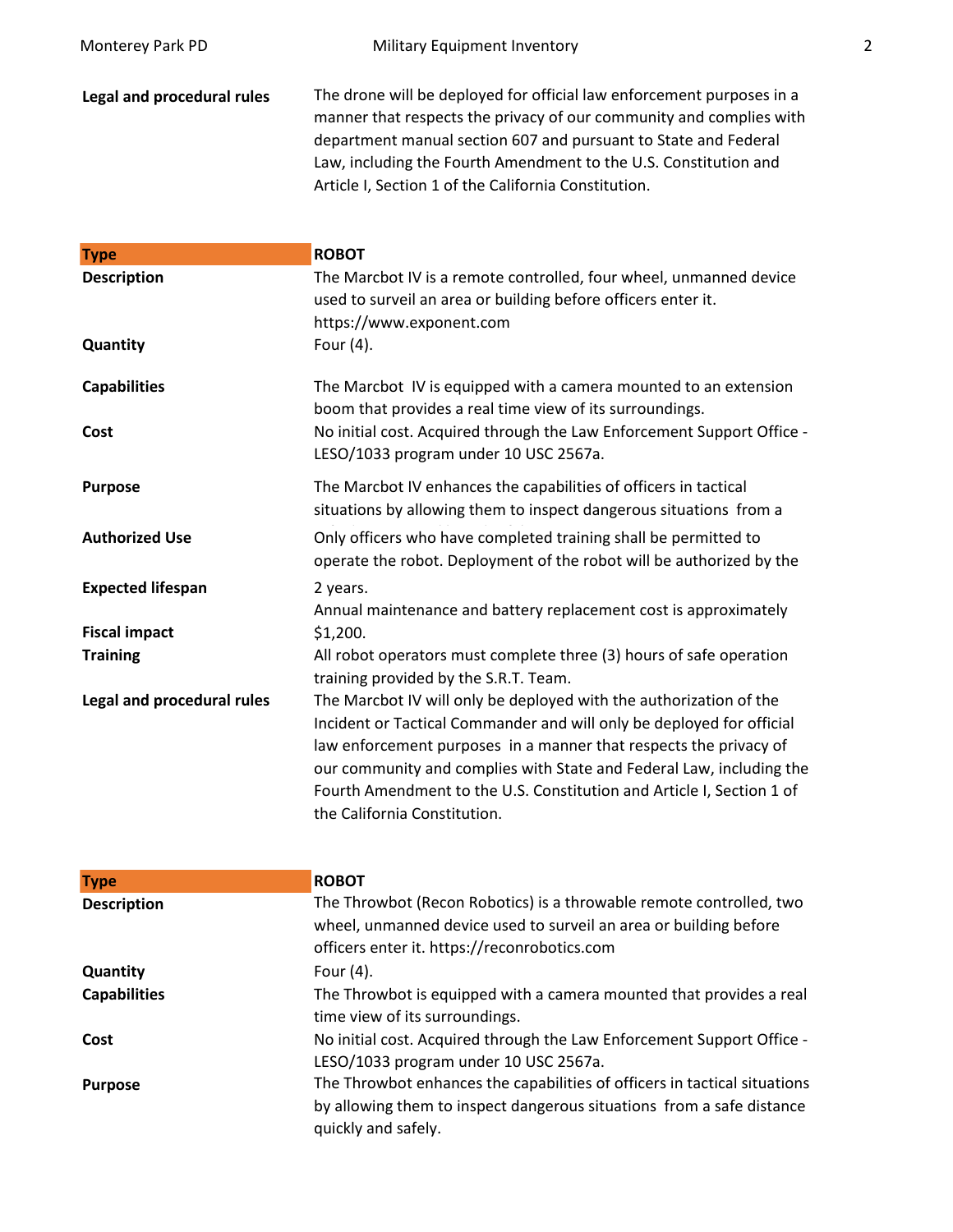**Legal and procedural rules** The drone will be deployed for official law enforcement purposes in a manner that respects the privacy of our community and complies with department manual section 607 and pursuant to State and Federal Law, including the Fourth Amendment to the U.S. Constitution and Article I, Section 1 of the California Constitution.

| <b>Type</b>                | <b>ROBOT</b>                                                                                                                                                                                                                                                                                                                                                                                      |
|----------------------------|---------------------------------------------------------------------------------------------------------------------------------------------------------------------------------------------------------------------------------------------------------------------------------------------------------------------------------------------------------------------------------------------------|
| <b>Description</b>         | The Marcbot IV is a remote controlled, four wheel, unmanned device<br>used to surveil an area or building before officers enter it.<br>https://www.exponent.com                                                                                                                                                                                                                                   |
| Quantity                   | Four (4).                                                                                                                                                                                                                                                                                                                                                                                         |
| <b>Capabilities</b>        | The Marcbot IV is equipped with a camera mounted to an extension<br>boom that provides a real time view of its surroundings.                                                                                                                                                                                                                                                                      |
| Cost                       | No initial cost. Acquired through the Law Enforcement Support Office -<br>LESO/1033 program under 10 USC 2567a.                                                                                                                                                                                                                                                                                   |
| <b>Purpose</b>             | The Marcbot IV enhances the capabilities of officers in tactical<br>situations by allowing them to inspect dangerous situations from a                                                                                                                                                                                                                                                            |
| <b>Authorized Use</b>      | Only officers who have completed training shall be permitted to<br>operate the robot. Deployment of the robot will be authorized by the                                                                                                                                                                                                                                                           |
| <b>Expected lifespan</b>   | 2 years.<br>Annual maintenance and battery replacement cost is approximately                                                                                                                                                                                                                                                                                                                      |
| <b>Fiscal impact</b>       | \$1,200.                                                                                                                                                                                                                                                                                                                                                                                          |
| <b>Training</b>            | All robot operators must complete three (3) hours of safe operation<br>training provided by the S.R.T. Team.                                                                                                                                                                                                                                                                                      |
| Legal and procedural rules | The Marcbot IV will only be deployed with the authorization of the<br>Incident or Tactical Commander and will only be deployed for official<br>law enforcement purposes in a manner that respects the privacy of<br>our community and complies with State and Federal Law, including the<br>Fourth Amendment to the U.S. Constitution and Article I, Section 1 of<br>the California Constitution. |

| <b>Type</b>         | <b>ROBOT</b>                                                                                                                                                                             |
|---------------------|------------------------------------------------------------------------------------------------------------------------------------------------------------------------------------------|
| <b>Description</b>  | The Throwbot (Recon Robotics) is a throwable remote controlled, two<br>wheel, unmanned device used to surveil an area or building before<br>officers enter it. https://reconrobotics.com |
| Quantity            | Four $(4)$ .                                                                                                                                                                             |
| <b>Capabilities</b> | The Throwbot is equipped with a camera mounted that provides a real<br>time view of its surroundings.                                                                                    |
| Cost                | No initial cost. Acquired through the Law Enforcement Support Office -<br>LESO/1033 program under 10 USC 2567a.                                                                          |
| <b>Purpose</b>      | The Throwbot enhances the capabilities of officers in tactical situations<br>by allowing them to inspect dangerous situations from a safe distance<br>quickly and safely.                |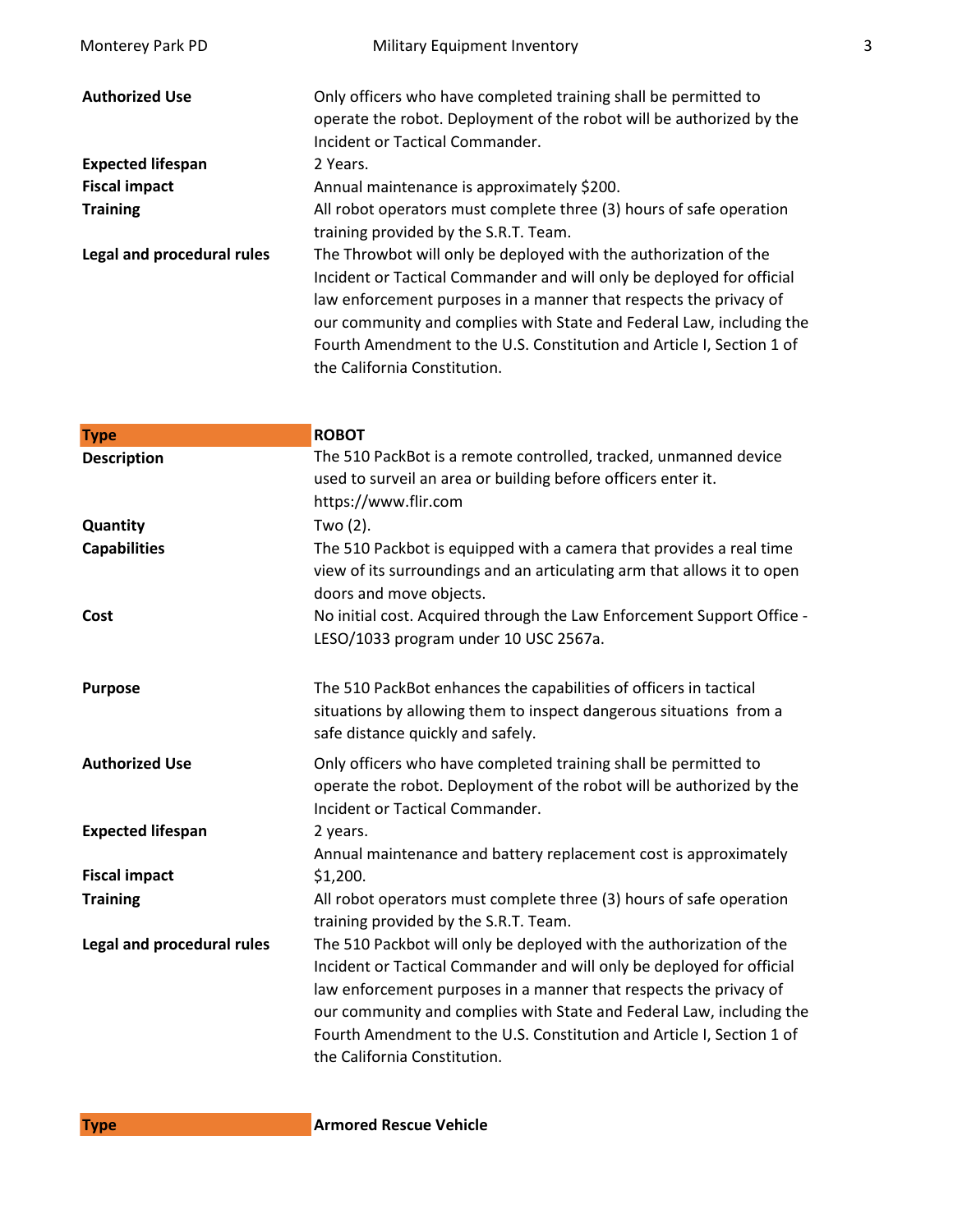| Monterey Park PD           | Military Equipment Inventory                                                                                                            | 3 |
|----------------------------|-----------------------------------------------------------------------------------------------------------------------------------------|---|
| <b>Authorized Use</b>      | Only officers who have completed training shall be permitted to<br>operate the robot. Deployment of the robot will be authorized by the |   |
|                            | Incident or Tactical Commander.                                                                                                         |   |
| <b>Expected lifespan</b>   | 2 Years.                                                                                                                                |   |
| <b>Fiscal impact</b>       | Annual maintenance is approximately \$200.                                                                                              |   |
| <b>Training</b>            | All robot operators must complete three (3) hours of safe operation                                                                     |   |
|                            | training provided by the S.R.T. Team.                                                                                                   |   |
| Legal and procedural rules | The Throwbot will only be deployed with the authorization of the                                                                        |   |
|                            | Incident or Tactical Commander and will only be deployed for official                                                                   |   |
|                            | law enforcement purposes in a manner that respects the privacy of                                                                       |   |
|                            | our community and complies with State and Federal Law, including the                                                                    |   |
|                            | Fourth Amendment to the U.S. Constitution and Article I, Section 1 of<br>the California Constitution.                                   |   |
|                            |                                                                                                                                         |   |

| <b>Type</b>                | <b>ROBOT</b>                                                                                                                                                                                                                                                                                                                                                                                       |
|----------------------------|----------------------------------------------------------------------------------------------------------------------------------------------------------------------------------------------------------------------------------------------------------------------------------------------------------------------------------------------------------------------------------------------------|
| <b>Description</b>         | The 510 PackBot is a remote controlled, tracked, unmanned device<br>used to surveil an area or building before officers enter it.<br>https://www.flir.com                                                                                                                                                                                                                                          |
| Quantity                   | Two (2).                                                                                                                                                                                                                                                                                                                                                                                           |
| <b>Capabilities</b>        | The 510 Packbot is equipped with a camera that provides a real time<br>view of its surroundings and an articulating arm that allows it to open<br>doors and move objects.                                                                                                                                                                                                                          |
| Cost                       | No initial cost. Acquired through the Law Enforcement Support Office -<br>LESO/1033 program under 10 USC 2567a.                                                                                                                                                                                                                                                                                    |
| <b>Purpose</b>             | The 510 PackBot enhances the capabilities of officers in tactical<br>situations by allowing them to inspect dangerous situations from a<br>safe distance quickly and safely.                                                                                                                                                                                                                       |
| <b>Authorized Use</b>      | Only officers who have completed training shall be permitted to<br>operate the robot. Deployment of the robot will be authorized by the<br>Incident or Tactical Commander.                                                                                                                                                                                                                         |
| <b>Expected lifespan</b>   | 2 years.<br>Annual maintenance and battery replacement cost is approximately                                                                                                                                                                                                                                                                                                                       |
| <b>Fiscal impact</b>       | \$1,200.                                                                                                                                                                                                                                                                                                                                                                                           |
| <b>Training</b>            | All robot operators must complete three (3) hours of safe operation<br>training provided by the S.R.T. Team.                                                                                                                                                                                                                                                                                       |
| Legal and procedural rules | The 510 Packbot will only be deployed with the authorization of the<br>Incident or Tactical Commander and will only be deployed for official<br>law enforcement purposes in a manner that respects the privacy of<br>our community and complies with State and Federal Law, including the<br>Fourth Amendment to the U.S. Constitution and Article I, Section 1 of<br>the California Constitution. |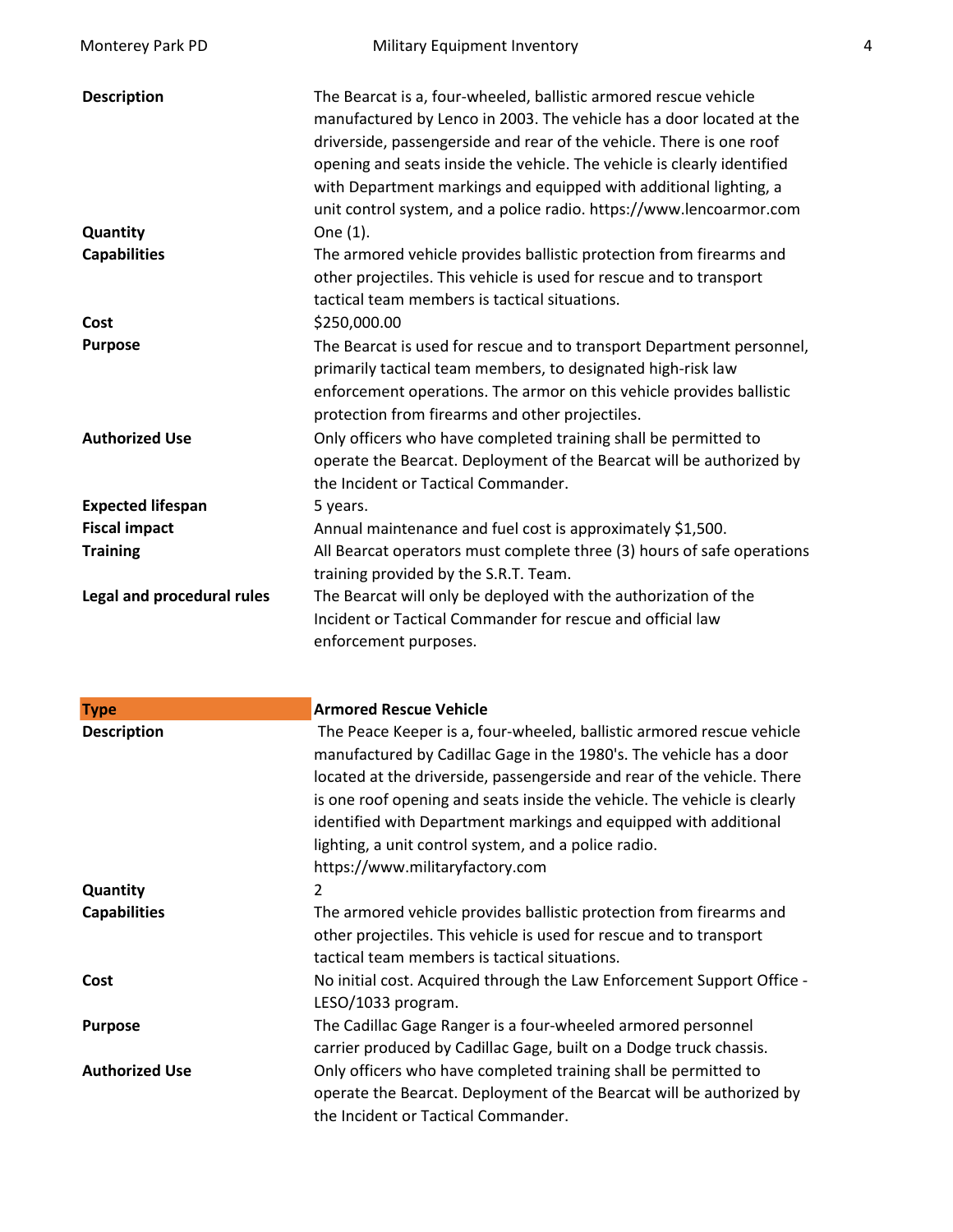| Monterey Park PD           | Military Equipment Inventory                                                                                                                                                                                                                                                                                                                                                                                                                                       | 4 |
|----------------------------|--------------------------------------------------------------------------------------------------------------------------------------------------------------------------------------------------------------------------------------------------------------------------------------------------------------------------------------------------------------------------------------------------------------------------------------------------------------------|---|
| <b>Description</b>         | The Bearcat is a, four-wheeled, ballistic armored rescue vehicle<br>manufactured by Lenco in 2003. The vehicle has a door located at the<br>driverside, passengerside and rear of the vehicle. There is one roof<br>opening and seats inside the vehicle. The vehicle is clearly identified<br>with Department markings and equipped with additional lighting, a<br>unit control system, and a police radio. https://www.lencoarmor.com                            |   |
| Quantity                   | One (1).                                                                                                                                                                                                                                                                                                                                                                                                                                                           |   |
| <b>Capabilities</b>        | The armored vehicle provides ballistic protection from firearms and<br>other projectiles. This vehicle is used for rescue and to transport<br>tactical team members is tactical situations.                                                                                                                                                                                                                                                                        |   |
| Cost                       | \$250,000.00                                                                                                                                                                                                                                                                                                                                                                                                                                                       |   |
| <b>Purpose</b>             | The Bearcat is used for rescue and to transport Department personnel,<br>primarily tactical team members, to designated high-risk law<br>enforcement operations. The armor on this vehicle provides ballistic<br>protection from firearms and other projectiles.                                                                                                                                                                                                   |   |
| <b>Authorized Use</b>      | Only officers who have completed training shall be permitted to<br>operate the Bearcat. Deployment of the Bearcat will be authorized by<br>the Incident or Tactical Commander.                                                                                                                                                                                                                                                                                     |   |
| <b>Expected lifespan</b>   | 5 years.                                                                                                                                                                                                                                                                                                                                                                                                                                                           |   |
| <b>Fiscal impact</b>       | Annual maintenance and fuel cost is approximately \$1,500.                                                                                                                                                                                                                                                                                                                                                                                                         |   |
| <b>Training</b>            | All Bearcat operators must complete three (3) hours of safe operations<br>training provided by the S.R.T. Team.                                                                                                                                                                                                                                                                                                                                                    |   |
| Legal and procedural rules | The Bearcat will only be deployed with the authorization of the<br>Incident or Tactical Commander for rescue and official law<br>enforcement purposes.                                                                                                                                                                                                                                                                                                             |   |
| <b>Type</b>                | <b>Armored Rescue Vehicle</b>                                                                                                                                                                                                                                                                                                                                                                                                                                      |   |
| <b>Description</b>         | The Peace Keeper is a, four-wheeled, ballistic armored rescue vehicle<br>manufactured by Cadillac Gage in the 1980's. The vehicle has a door<br>located at the driverside, passengerside and rear of the vehicle. There<br>is one roof opening and seats inside the vehicle. The vehicle is clearly<br>identified with Department markings and equipped with additional<br>lighting, a unit control system, and a police radio.<br>https://www.militaryfactory.com |   |
| Quantity                   | 2                                                                                                                                                                                                                                                                                                                                                                                                                                                                  |   |
| <b>Capabilities</b>        | The armored vehicle provides ballistic protection from firearms and<br>other projectiles. This vehicle is used for rescue and to transport<br>tactical team members is tactical situations.                                                                                                                                                                                                                                                                        |   |
| Cost                       | No initial cost. Acquired through the Law Enforcement Support Office -<br>LESO/1033 program.                                                                                                                                                                                                                                                                                                                                                                       |   |
| <b>Purpose</b>             | The Cadillac Gage Ranger is a four-wheeled armored personnel<br>carrier produced by Cadillac Gage, built on a Dodge truck chassis.                                                                                                                                                                                                                                                                                                                                 |   |
| <b>Authorized Use</b>      | Only officers who have completed training shall be permitted to<br>operate the Bearcat. Deployment of the Bearcat will be authorized by<br>the Incident or Tactical Commander.                                                                                                                                                                                                                                                                                     |   |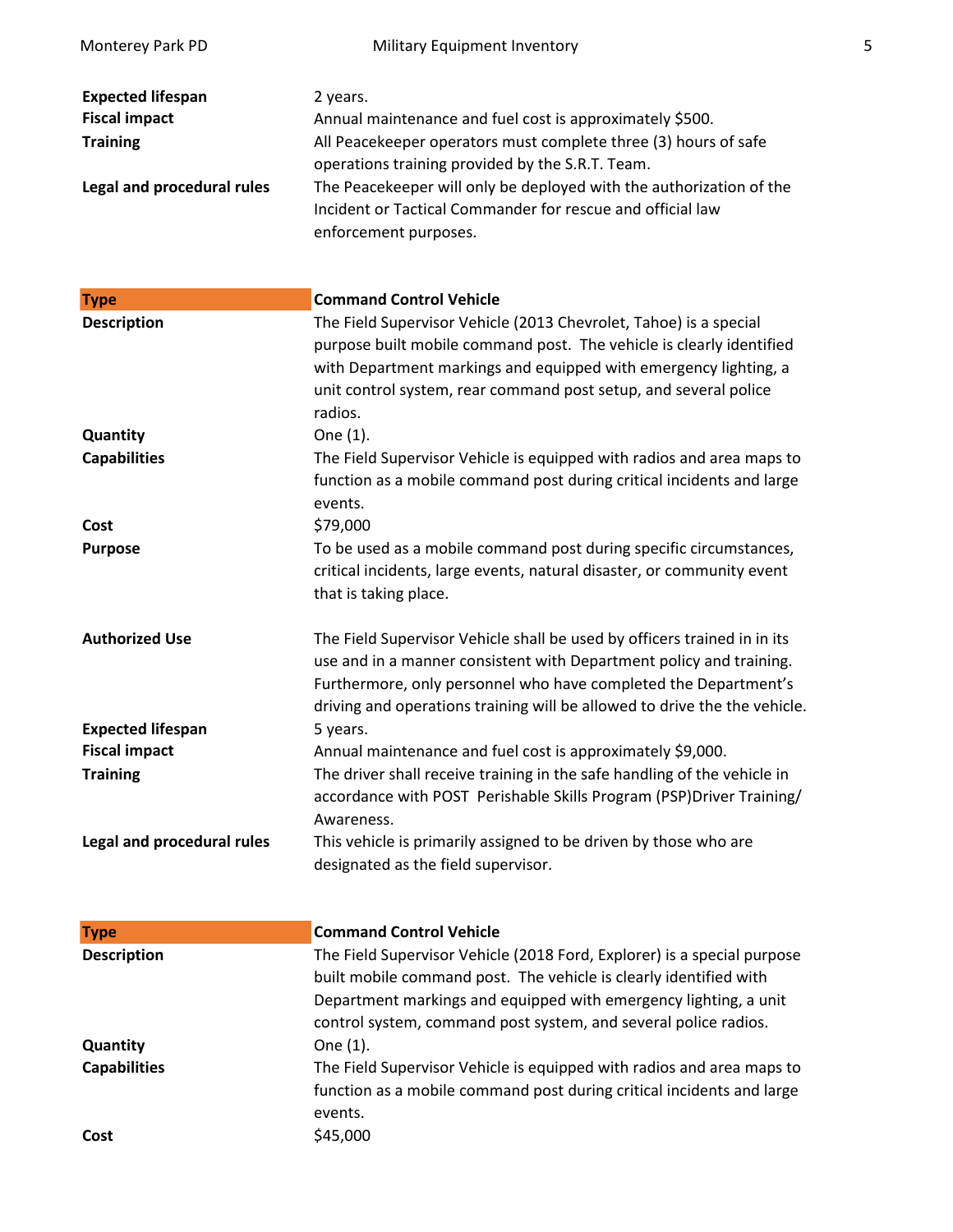| Monterey Park PD            | Military Equipment Inventory                                                                                                                                                                                                                                                                    | 5 |
|-----------------------------|-------------------------------------------------------------------------------------------------------------------------------------------------------------------------------------------------------------------------------------------------------------------------------------------------|---|
| <b>Expected lifespan</b>    | 2 years.                                                                                                                                                                                                                                                                                        |   |
| <b>Fiscal impact</b>        | Annual maintenance and fuel cost is approximately \$500.                                                                                                                                                                                                                                        |   |
| <b>Training</b>             | All Peacekeeper operators must complete three (3) hours of safe                                                                                                                                                                                                                                 |   |
|                             | operations training provided by the S.R.T. Team.                                                                                                                                                                                                                                                |   |
| Legal and procedural rules  | The Peacekeeper will only be deployed with the authorization of the<br>Incident or Tactical Commander for rescue and official law<br>enforcement purposes.                                                                                                                                      |   |
|                             |                                                                                                                                                                                                                                                                                                 |   |
| <b>Type</b>                 | <b>Command Control Vehicle</b>                                                                                                                                                                                                                                                                  |   |
| <b>Description</b>          | The Field Supervisor Vehicle (2013 Chevrolet, Tahoe) is a special<br>purpose built mobile command post. The vehicle is clearly identified<br>with Department markings and equipped with emergency lighting, a<br>unit control system, rear command post setup, and several police<br>radios.    |   |
| Quantity                    | One (1).                                                                                                                                                                                                                                                                                        |   |
| <b>Capabilities</b><br>Cost | The Field Supervisor Vehicle is equipped with radios and area maps to<br>function as a mobile command post during critical incidents and large<br>events.<br>\$79,000                                                                                                                           |   |
| <b>Purpose</b>              | To be used as a mobile command post during specific circumstances,                                                                                                                                                                                                                              |   |
|                             | critical incidents, large events, natural disaster, or community event<br>that is taking place.                                                                                                                                                                                                 |   |
| <b>Authorized Use</b>       | The Field Supervisor Vehicle shall be used by officers trained in in its<br>use and in a manner consistent with Department policy and training.<br>Furthermore, only personnel who have completed the Department's<br>driving and operations training will be allowed to drive the the vehicle. |   |
| <b>Expected lifespan</b>    | 5 years.                                                                                                                                                                                                                                                                                        |   |
| <b>Fiscal impact</b>        | Annual maintenance and fuel cost is approximately \$9,000.                                                                                                                                                                                                                                      |   |
| <b>Training</b>             | The driver shall receive training in the safe handling of the vehicle in<br>accordance with POST Perishable Skills Program (PSP)Driver Training/<br>Awareness.                                                                                                                                  |   |
| Legal and procedural rules  | This vehicle is primarily assigned to be driven by those who are<br>designated as the field supervisor.                                                                                                                                                                                         |   |
| <b>Type</b>                 | <b>Command Control Vehicle</b>                                                                                                                                                                                                                                                                  |   |
| <b>Description</b>          | The Field Supervisor Vehicle (2018 Ford, Explorer) is a special purpose<br>built mobile command post. The vehicle is clearly identified with<br>Department markings and equipped with emergency lighting, a unit<br>control system, command post system, and several police radios.             |   |
| Quantity                    | One (1).                                                                                                                                                                                                                                                                                        |   |
| <b>Capabilities</b>         | The Field Supervisor Vehicle is equipped with radios and area maps to<br>function as a mobile command post during critical incidents and large<br>events.                                                                                                                                       |   |
| Cost                        | \$45,000                                                                                                                                                                                                                                                                                        |   |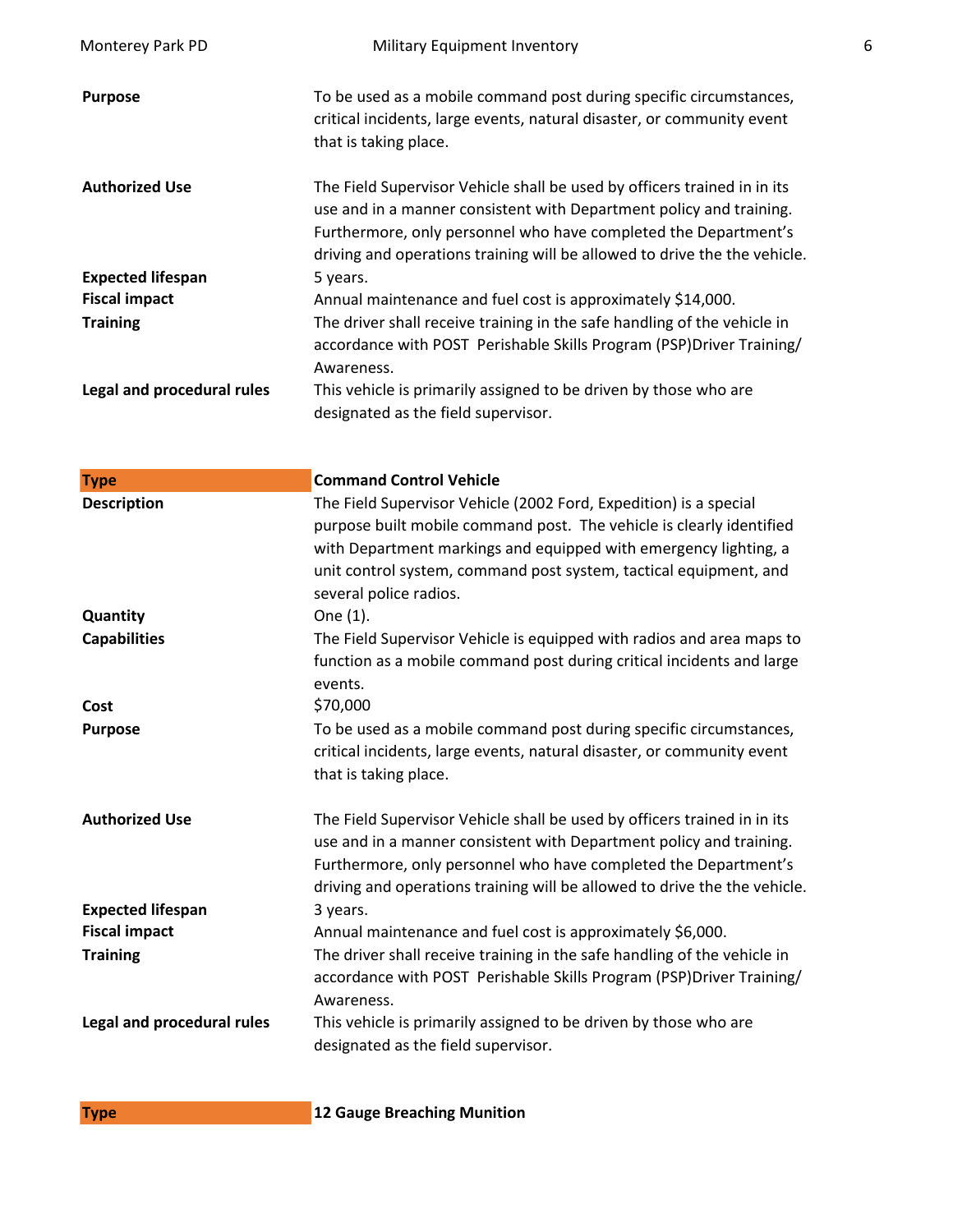| Monterey Park PD           | Military Equipment Inventory                                                                                                                                                                                                                                                                                 | 6 |
|----------------------------|--------------------------------------------------------------------------------------------------------------------------------------------------------------------------------------------------------------------------------------------------------------------------------------------------------------|---|
| <b>Purpose</b>             | To be used as a mobile command post during specific circumstances,<br>critical incidents, large events, natural disaster, or community event<br>that is taking place.                                                                                                                                        |   |
| <b>Authorized Use</b>      | The Field Supervisor Vehicle shall be used by officers trained in in its<br>use and in a manner consistent with Department policy and training.<br>Furthermore, only personnel who have completed the Department's<br>driving and operations training will be allowed to drive the the vehicle.              |   |
| <b>Expected lifespan</b>   | 5 years.                                                                                                                                                                                                                                                                                                     |   |
| <b>Fiscal impact</b>       | Annual maintenance and fuel cost is approximately \$14,000.                                                                                                                                                                                                                                                  |   |
| <b>Training</b>            | The driver shall receive training in the safe handling of the vehicle in<br>accordance with POST Perishable Skills Program (PSP)Driver Training/<br>Awareness.                                                                                                                                               |   |
| Legal and procedural rules | This vehicle is primarily assigned to be driven by those who are<br>designated as the field supervisor.                                                                                                                                                                                                      |   |
| <b>Type</b>                | <b>Command Control Vehicle</b>                                                                                                                                                                                                                                                                               |   |
| <b>Description</b>         | The Field Supervisor Vehicle (2002 Ford, Expedition) is a special<br>purpose built mobile command post. The vehicle is clearly identified<br>with Department markings and equipped with emergency lighting, a<br>unit control system, command post system, tactical equipment, and<br>several police radios. |   |
| Quantity                   | One (1).                                                                                                                                                                                                                                                                                                     |   |
| <b>Capabilities</b>        | The Field Supervisor Vehicle is equipped with radios and area maps to<br>function as a mobile command post during critical incidents and large<br>events.                                                                                                                                                    |   |
| Cost                       | \$70,000                                                                                                                                                                                                                                                                                                     |   |
| <b>Purpose</b>             | To be used as a mobile command post during specific circumstances,<br>critical incidents, large events, natural disaster, or community event<br>that is taking place.                                                                                                                                        |   |
| <b>Authorized Use</b>      | The Field Supervisor Vehicle shall be used by officers trained in in its<br>use and in a manner consistent with Department policy and training.<br>Furthermore, only personnel who have completed the Department's<br>driving and operations training will be allowed to drive the the vehicle.              |   |
| <b>Expected lifespan</b>   | 3 years.                                                                                                                                                                                                                                                                                                     |   |
| <b>Fiscal impact</b>       | Annual maintenance and fuel cost is approximately \$6,000.                                                                                                                                                                                                                                                   |   |
| <b>Training</b>            | The driver shall receive training in the safe handling of the vehicle in<br>accordance with POST Perishable Skills Program (PSP)Driver Training/<br>Awareness.                                                                                                                                               |   |
| Legal and procedural rules | This vehicle is primarily assigned to be driven by those who are<br>designated as the field supervisor.                                                                                                                                                                                                      |   |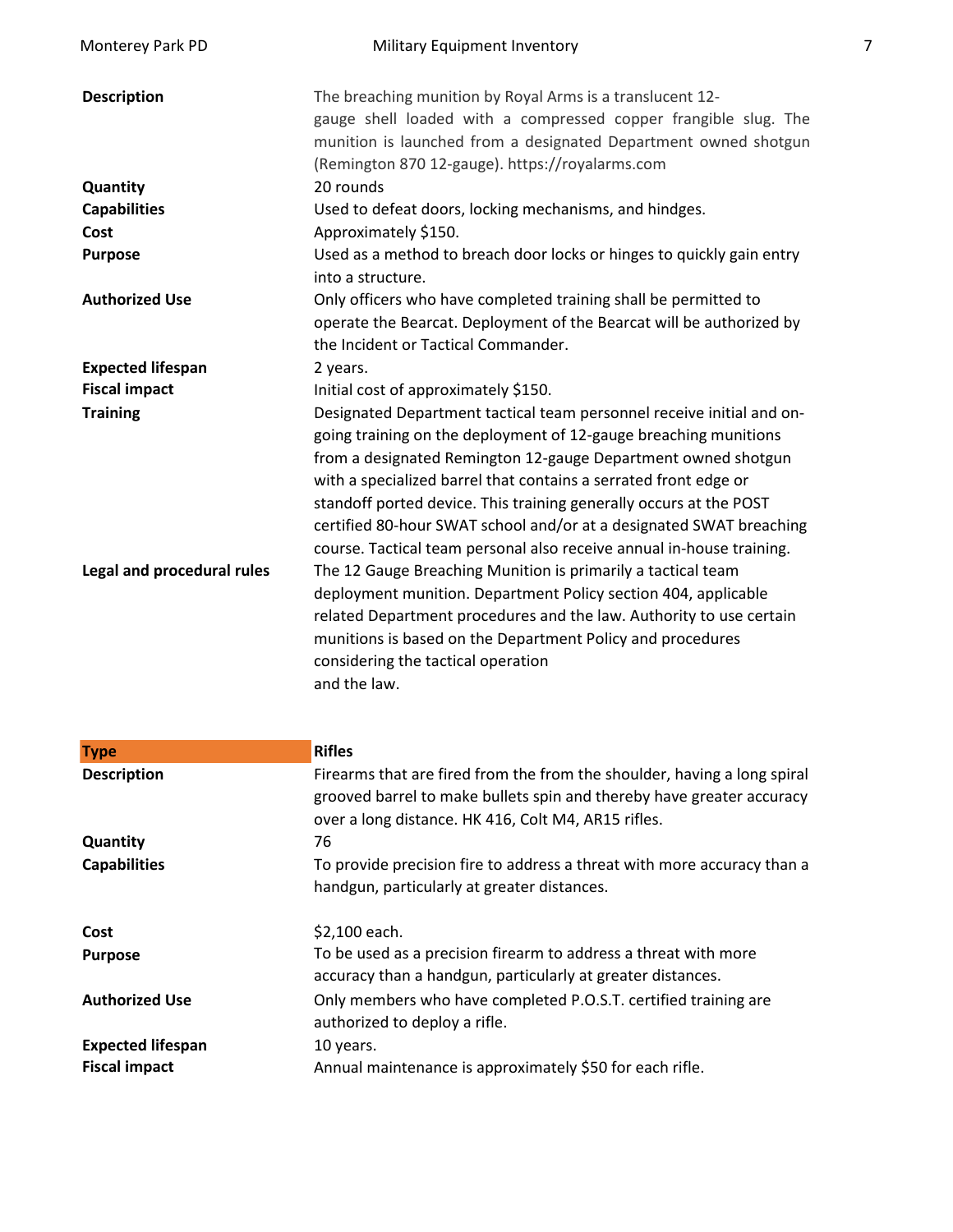| Monterey Park PD           | Military Equipment Inventory                                                                                                                                                                                                                                                                                                                                                                                                                                                                         | 7 |
|----------------------------|------------------------------------------------------------------------------------------------------------------------------------------------------------------------------------------------------------------------------------------------------------------------------------------------------------------------------------------------------------------------------------------------------------------------------------------------------------------------------------------------------|---|
| <b>Description</b>         | The breaching munition by Royal Arms is a translucent 12-<br>gauge shell loaded with a compressed copper frangible slug. The<br>munition is launched from a designated Department owned shotgun<br>(Remington 870 12-gauge). https://royalarms.com                                                                                                                                                                                                                                                   |   |
| Quantity                   | 20 rounds                                                                                                                                                                                                                                                                                                                                                                                                                                                                                            |   |
| <b>Capabilities</b>        | Used to defeat doors, locking mechanisms, and hindges.                                                                                                                                                                                                                                                                                                                                                                                                                                               |   |
| Cost                       | Approximately \$150.                                                                                                                                                                                                                                                                                                                                                                                                                                                                                 |   |
| <b>Purpose</b>             | Used as a method to breach door locks or hinges to quickly gain entry<br>into a structure.                                                                                                                                                                                                                                                                                                                                                                                                           |   |
| <b>Authorized Use</b>      | Only officers who have completed training shall be permitted to<br>operate the Bearcat. Deployment of the Bearcat will be authorized by<br>the Incident or Tactical Commander.                                                                                                                                                                                                                                                                                                                       |   |
| <b>Expected lifespan</b>   | 2 years.                                                                                                                                                                                                                                                                                                                                                                                                                                                                                             |   |
| <b>Fiscal impact</b>       | Initial cost of approximately \$150.                                                                                                                                                                                                                                                                                                                                                                                                                                                                 |   |
| <b>Training</b>            | Designated Department tactical team personnel receive initial and on-<br>going training on the deployment of 12-gauge breaching munitions<br>from a designated Remington 12-gauge Department owned shotgun<br>with a specialized barrel that contains a serrated front edge or<br>standoff ported device. This training generally occurs at the POST<br>certified 80-hour SWAT school and/or at a designated SWAT breaching<br>course. Tactical team personal also receive annual in-house training. |   |
| Legal and procedural rules | The 12 Gauge Breaching Munition is primarily a tactical team<br>deployment munition. Department Policy section 404, applicable<br>related Department procedures and the law. Authority to use certain<br>munitions is based on the Department Policy and procedures<br>considering the tactical operation<br>and the law.                                                                                                                                                                            |   |

| <b>Type</b>              | <b>Rifles</b>                                                                                                                                                                                            |
|--------------------------|----------------------------------------------------------------------------------------------------------------------------------------------------------------------------------------------------------|
| <b>Description</b>       | Firearms that are fired from the from the shoulder, having a long spiral<br>grooved barrel to make bullets spin and thereby have greater accuracy<br>over a long distance. HK 416, Colt M4, AR15 rifles. |
| Quantity                 | 76                                                                                                                                                                                                       |
| <b>Capabilities</b>      | To provide precision fire to address a threat with more accuracy than a<br>handgun, particularly at greater distances.                                                                                   |
| Cost                     | \$2,100 each.                                                                                                                                                                                            |
| <b>Purpose</b>           | To be used as a precision firearm to address a threat with more<br>accuracy than a handgun, particularly at greater distances.                                                                           |
| <b>Authorized Use</b>    | Only members who have completed P.O.S.T. certified training are<br>authorized to deploy a rifle.                                                                                                         |
| <b>Expected lifespan</b> | 10 years.                                                                                                                                                                                                |
| <b>Fiscal impact</b>     | Annual maintenance is approximately \$50 for each rifle.                                                                                                                                                 |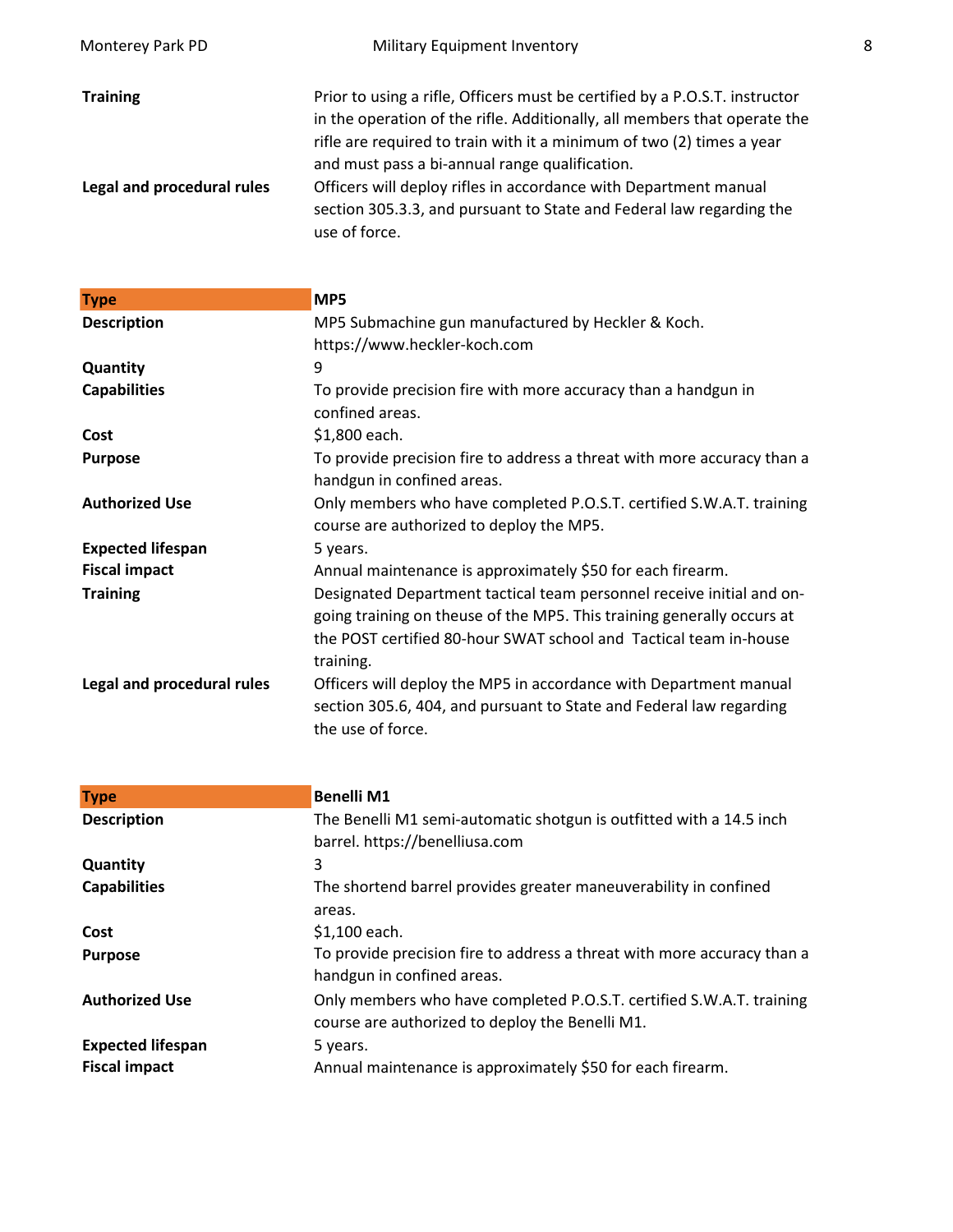| Monterey Park PD           | Military Equipment Inventory                                                                                                                                                                                                                                                        | 8 |
|----------------------------|-------------------------------------------------------------------------------------------------------------------------------------------------------------------------------------------------------------------------------------------------------------------------------------|---|
| <b>Training</b>            | Prior to using a rifle, Officers must be certified by a P.O.S.T. instructor<br>in the operation of the rifle. Additionally, all members that operate the<br>rifle are required to train with it a minimum of two (2) times a year<br>and must pass a bi-annual range qualification. |   |
| Legal and procedural rules | Officers will deploy rifles in accordance with Department manual<br>section 305.3.3, and pursuant to State and Federal law regarding the<br>use of force.                                                                                                                           |   |

| <b>Type</b>                | MP5                                                                                                                                                                                                                               |
|----------------------------|-----------------------------------------------------------------------------------------------------------------------------------------------------------------------------------------------------------------------------------|
| <b>Description</b>         | MP5 Submachine gun manufactured by Heckler & Koch.                                                                                                                                                                                |
|                            | https://www.heckler-koch.com                                                                                                                                                                                                      |
| Quantity                   | 9                                                                                                                                                                                                                                 |
| <b>Capabilities</b>        | To provide precision fire with more accuracy than a handgun in<br>confined areas.                                                                                                                                                 |
| Cost                       | \$1,800 each.                                                                                                                                                                                                                     |
| <b>Purpose</b>             | To provide precision fire to address a threat with more accuracy than a<br>handgun in confined areas.                                                                                                                             |
| <b>Authorized Use</b>      | Only members who have completed P.O.S.T. certified S.W.A.T. training<br>course are authorized to deploy the MP5.                                                                                                                  |
| <b>Expected lifespan</b>   | 5 years.                                                                                                                                                                                                                          |
| <b>Fiscal impact</b>       | Annual maintenance is approximately \$50 for each firearm.                                                                                                                                                                        |
| <b>Training</b>            | Designated Department tactical team personnel receive initial and on-<br>going training on theuse of the MP5. This training generally occurs at<br>the POST certified 80-hour SWAT school and Tactical team in-house<br>training. |
| Legal and procedural rules | Officers will deploy the MP5 in accordance with Department manual<br>section 305.6, 404, and pursuant to State and Federal law regarding<br>the use of force.                                                                     |

| <b>Benelli M1</b>                                                       |
|-------------------------------------------------------------------------|
| The Benelli M1 semi-automatic shotgun is outfitted with a 14.5 inch     |
| barrel. https://benelliusa.com                                          |
| 3                                                                       |
| The shortend barrel provides greater maneuverability in confined        |
| areas.                                                                  |
| \$1,100 each.                                                           |
| To provide precision fire to address a threat with more accuracy than a |
| handgun in confined areas.                                              |
| Only members who have completed P.O.S.T. certified S.W.A.T. training    |
| course are authorized to deploy the Benelli M1.                         |
| 5 years.                                                                |
| Annual maintenance is approximately \$50 for each firearm.              |
|                                                                         |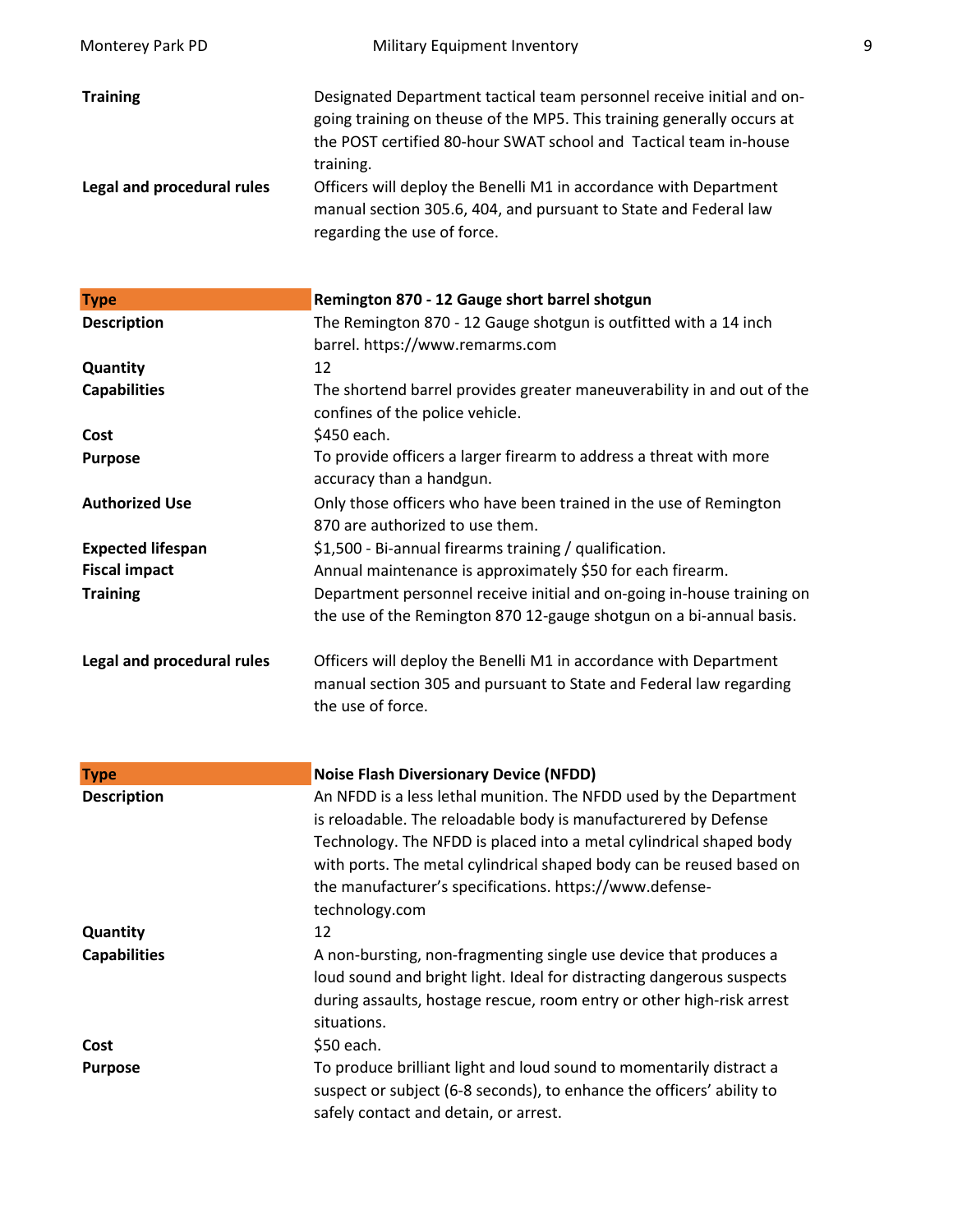| Monterey Park PD                              | Military Equipment Inventory                                                                                                                                                                                                                                                                                                                                                                              | 9 |
|-----------------------------------------------|-----------------------------------------------------------------------------------------------------------------------------------------------------------------------------------------------------------------------------------------------------------------------------------------------------------------------------------------------------------------------------------------------------------|---|
| <b>Training</b><br>Legal and procedural rules | Designated Department tactical team personnel receive initial and on-<br>going training on theuse of the MP5. This training generally occurs at<br>the POST certified 80-hour SWAT school and Tactical team in-house<br>training.<br>Officers will deploy the Benelli M1 in accordance with Department<br>manual section 305.6, 404, and pursuant to State and Federal law<br>regarding the use of force. |   |
| <b>Type</b>                                   | Remington 870 - 12 Gauge short barrel shotgun                                                                                                                                                                                                                                                                                                                                                             |   |
| <b>Description</b>                            | The Remington 870 - 12 Gauge shotgun is outfitted with a 14 inch<br>barrel. https://www.remarms.com                                                                                                                                                                                                                                                                                                       |   |
| Quantity<br><b>Capabilities</b>               | 12<br>The shortend barrel provides greater maneuverability in and out of the<br>confines of the police vehicle.                                                                                                                                                                                                                                                                                           |   |
| Cost                                          | \$450 each.                                                                                                                                                                                                                                                                                                                                                                                               |   |
| <b>Purpose</b>                                | To provide officers a larger firearm to address a threat with more<br>accuracy than a handgun.                                                                                                                                                                                                                                                                                                            |   |
| <b>Authorized Use</b>                         | Only those officers who have been trained in the use of Remington<br>870 are authorized to use them.                                                                                                                                                                                                                                                                                                      |   |
| <b>Expected lifespan</b>                      | \$1,500 - Bi-annual firearms training / qualification.                                                                                                                                                                                                                                                                                                                                                    |   |
| <b>Fiscal impact</b>                          | Annual maintenance is approximately \$50 for each firearm.                                                                                                                                                                                                                                                                                                                                                |   |
| <b>Training</b>                               | Department personnel receive initial and on-going in-house training on<br>the use of the Remington 870 12-gauge shotgun on a bi-annual basis.                                                                                                                                                                                                                                                             |   |
| Legal and procedural rules                    | Officers will deploy the Benelli M1 in accordance with Department<br>manual section 305 and pursuant to State and Federal law regarding<br>the use of force.                                                                                                                                                                                                                                              |   |
| <b>Type</b>                                   | <b>Noise Flash Diversionary Device (NFDD)</b>                                                                                                                                                                                                                                                                                                                                                             |   |
| <b>Description</b>                            | An NFDD is a less lethal munition. The NFDD used by the Department<br>is reloadable. The reloadable body is manufacturered by Defense<br>Technology. The NFDD is placed into a metal cylindrical shaped body<br>with ports. The metal cylindrical shaped body can be reused based on<br>the manufacturer's specifications. https://www.defense-<br>technology.com                                         |   |
| Quantity                                      | 12                                                                                                                                                                                                                                                                                                                                                                                                        |   |
| <b>Capabilities</b>                           | A non-bursting, non-fragmenting single use device that produces a<br>loud sound and bright light. Ideal for distracting dangerous suspects<br>during assaults, hostage rescue, room entry or other high-risk arrest<br>situations.                                                                                                                                                                        |   |
| Cost                                          | \$50 each.                                                                                                                                                                                                                                                                                                                                                                                                |   |
| <b>Purpose</b>                                | To produce brilliant light and loud sound to momentarily distract a<br>suspect or subject (6-8 seconds), to enhance the officers' ability to<br>safely contact and detain, or arrest.                                                                                                                                                                                                                     |   |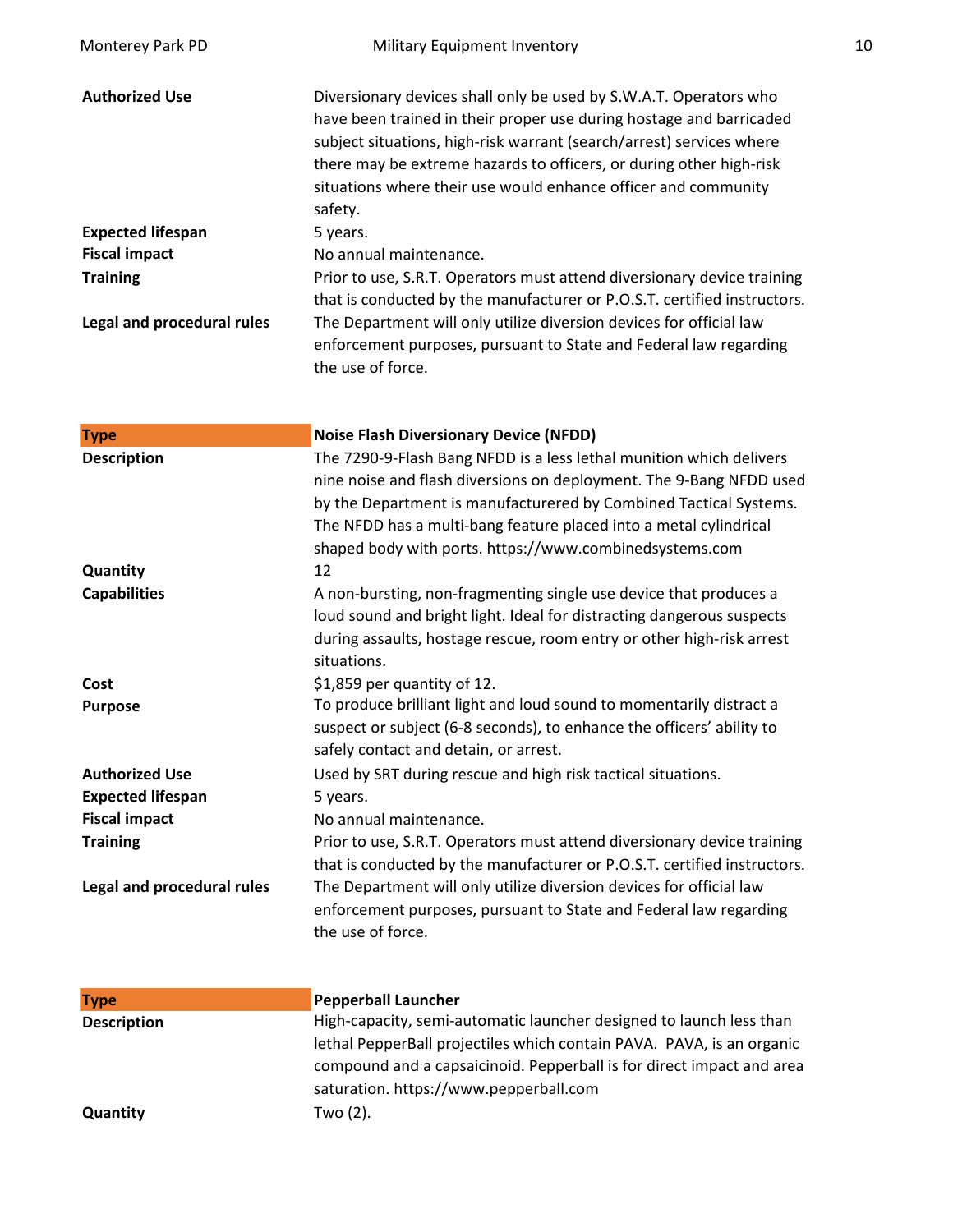| Monterey Park PD           | Military Equipment Inventory                                                                                                                                                                                                                                                                                                                                         | 10 |
|----------------------------|----------------------------------------------------------------------------------------------------------------------------------------------------------------------------------------------------------------------------------------------------------------------------------------------------------------------------------------------------------------------|----|
| <b>Authorized Use</b>      | Diversionary devices shall only be used by S.W.A.T. Operators who<br>have been trained in their proper use during hostage and barricaded<br>subject situations, high-risk warrant (search/arrest) services where<br>there may be extreme hazards to officers, or during other high-risk<br>situations where their use would enhance officer and community<br>safety. |    |
| <b>Expected lifespan</b>   | 5 years.                                                                                                                                                                                                                                                                                                                                                             |    |
| <b>Fiscal impact</b>       | No annual maintenance.                                                                                                                                                                                                                                                                                                                                               |    |
| <b>Training</b>            | Prior to use, S.R.T. Operators must attend diversionary device training<br>that is conducted by the manufacturer or P.O.S.T. certified instructors.                                                                                                                                                                                                                  |    |
| Legal and procedural rules | The Department will only utilize diversion devices for official law<br>enforcement purposes, pursuant to State and Federal law regarding<br>the use of force.                                                                                                                                                                                                        |    |
| <b>Type</b>                | <b>Noise Flash Diversionary Device (NFDD)</b>                                                                                                                                                                                                                                                                                                                        |    |
| <b>Description</b>         | The 7290-9-Flash Bang NFDD is a less lethal munition which delivers<br>nine noise and flash diversions on deployment. The 9-Bang NFDD used<br>by the Department is manufacturered by Combined Tactical Systems.<br>The NFDD has a multi-bang feature placed into a metal cylindrical<br>shaped body with ports. https://www.combinedsystems.com                      |    |
| Quantity                   | 12                                                                                                                                                                                                                                                                                                                                                                   |    |
| <b>Capabilities</b>        | A non-bursting, non-fragmenting single use device that produces a<br>loud sound and bright light. Ideal for distracting dangerous suspects<br>during assaults, hostage rescue, room entry or other high-risk arrest<br>situations.                                                                                                                                   |    |
| Cost                       | \$1,859 per quantity of 12.                                                                                                                                                                                                                                                                                                                                          |    |
| <b>Purpose</b>             | To produce brilliant light and loud sound to momentarily distract a<br>suspect or subject (6-8 seconds), to enhance the officers' ability to<br>safely contact and detain, or arrest.                                                                                                                                                                                |    |
| <b>Authorized Use</b>      | Used by SRT during rescue and high risk tactical situations.                                                                                                                                                                                                                                                                                                         |    |
| <b>Expected lifespan</b>   | 5 years.                                                                                                                                                                                                                                                                                                                                                             |    |
| <b>Fiscal impact</b>       | No annual maintenance.                                                                                                                                                                                                                                                                                                                                               |    |
| <b>Training</b>            | Prior to use, S.R.T. Operators must attend diversionary device training                                                                                                                                                                                                                                                                                              |    |
| Legal and procedural rules | that is conducted by the manufacturer or P.O.S.T. certified instructors.<br>The Department will only utilize diversion devices for official law<br>enforcement purposes, pursuant to State and Federal law regarding<br>the use of force.                                                                                                                            |    |
| <b>Type</b>                | <b>Pepperball Launcher</b>                                                                                                                                                                                                                                                                                                                                           |    |
| <b>Description</b>         | High-capacity, semi-automatic launcher designed to launch less than<br>lethal PepperBall projectiles which contain PAVA. PAVA, is an organic<br>compound and a capsaicinoid. Pepperball is for direct impact and area<br>saturation. https://www.pepperball.com                                                                                                      |    |
| Quantity                   | Two (2).                                                                                                                                                                                                                                                                                                                                                             |    |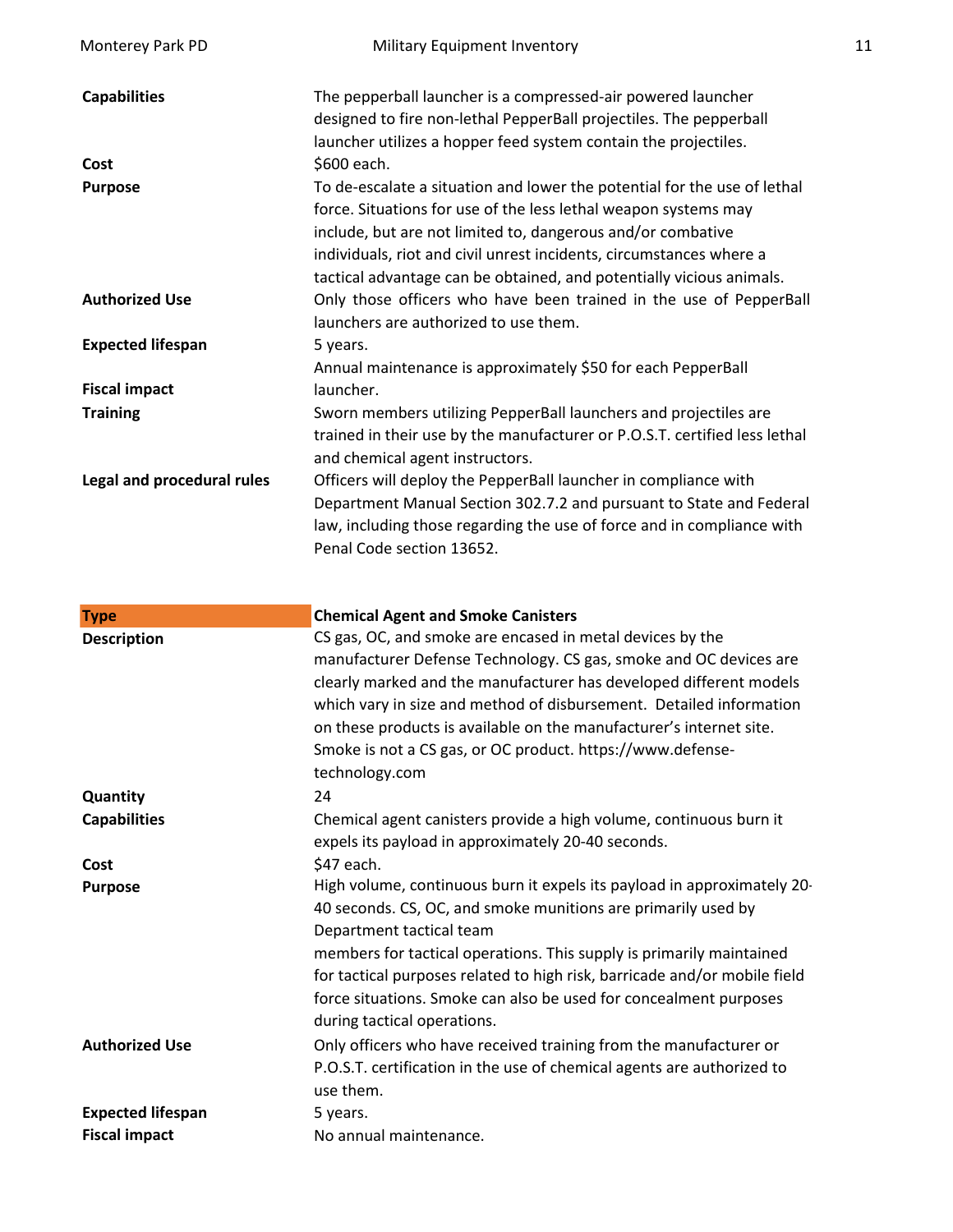| Monterey Park PD           | Military Equipment Inventory                                                                                                                                                                                                                                                                                                                              | 11 |
|----------------------------|-----------------------------------------------------------------------------------------------------------------------------------------------------------------------------------------------------------------------------------------------------------------------------------------------------------------------------------------------------------|----|
| <b>Capabilities</b>        | The pepperball launcher is a compressed-air powered launcher<br>designed to fire non-lethal PepperBall projectiles. The pepperball<br>launcher utilizes a hopper feed system contain the projectiles.                                                                                                                                                     |    |
| Cost                       | \$600 each.                                                                                                                                                                                                                                                                                                                                               |    |
| <b>Purpose</b>             | To de-escalate a situation and lower the potential for the use of lethal<br>force. Situations for use of the less lethal weapon systems may<br>include, but are not limited to, dangerous and/or combative<br>individuals, riot and civil unrest incidents, circumstances where a<br>tactical advantage can be obtained, and potentially vicious animals. |    |
| <b>Authorized Use</b>      | Only those officers who have been trained in the use of PepperBall<br>launchers are authorized to use them.                                                                                                                                                                                                                                               |    |
| <b>Expected lifespan</b>   | 5 years.<br>Annual maintenance is approximately \$50 for each PepperBall                                                                                                                                                                                                                                                                                  |    |
| <b>Fiscal impact</b>       | launcher.                                                                                                                                                                                                                                                                                                                                                 |    |
| <b>Training</b>            | Sworn members utilizing PepperBall launchers and projectiles are<br>trained in their use by the manufacturer or P.O.S.T. certified less lethal<br>and chemical agent instructors.                                                                                                                                                                         |    |
| Legal and procedural rules | Officers will deploy the PepperBall launcher in compliance with<br>Department Manual Section 302.7.2 and pursuant to State and Federal<br>law, including those regarding the use of force and in compliance with<br>Penal Code section 13652.                                                                                                             |    |

| <b>Type</b>              | <b>Chemical Agent and Smoke Canisters</b>                                 |
|--------------------------|---------------------------------------------------------------------------|
| <b>Description</b>       | CS gas, OC, and smoke are encased in metal devices by the                 |
|                          | manufacturer Defense Technology. CS gas, smoke and OC devices are         |
|                          | clearly marked and the manufacturer has developed different models        |
|                          | which vary in size and method of disbursement. Detailed information       |
|                          | on these products is available on the manufacturer's internet site.       |
|                          | Smoke is not a CS gas, or OC product. https://www.defense-                |
|                          | technology.com                                                            |
| Quantity                 | 24                                                                        |
| <b>Capabilities</b>      | Chemical agent canisters provide a high volume, continuous burn it        |
|                          | expels its payload in approximately 20-40 seconds.                        |
| Cost                     | \$47 each.                                                                |
| <b>Purpose</b>           | High volume, continuous burn it expels its payload in approximately 20-   |
|                          | 40 seconds. CS, OC, and smoke munitions are primarily used by             |
|                          | Department tactical team                                                  |
|                          | members for tactical operations. This supply is primarily maintained      |
|                          | for tactical purposes related to high risk, barricade and/or mobile field |
|                          | force situations. Smoke can also be used for concealment purposes         |
|                          | during tactical operations.                                               |
| <b>Authorized Use</b>    | Only officers who have received training from the manufacturer or         |
|                          | P.O.S.T. certification in the use of chemical agents are authorized to    |
|                          | use them.                                                                 |
| <b>Expected lifespan</b> | 5 years.                                                                  |
| <b>Fiscal impact</b>     | No annual maintenance.                                                    |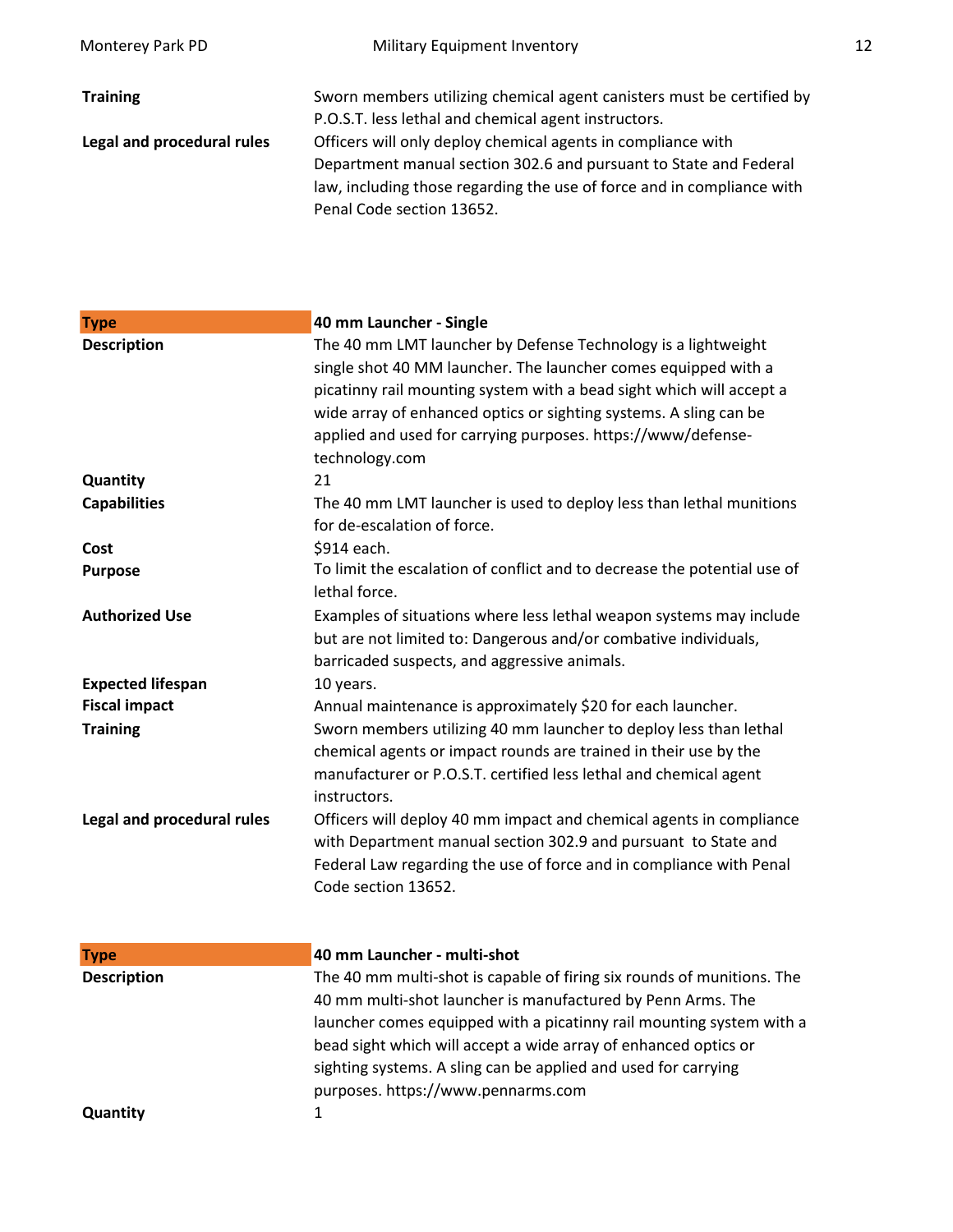| <b>Military Equipment Inventory</b>                                    | 12 |
|------------------------------------------------------------------------|----|
| Sworn members utilizing chemical agent canisters must be certified by  |    |
| P.O.S.T. less lethal and chemical agent instructors.                   |    |
| Officers will only deploy chemical agents in compliance with           |    |
| Department manual section 302.6 and pursuant to State and Federal      |    |
| law, including those regarding the use of force and in compliance with |    |
| Penal Code section 13652.                                              |    |
|                                                                        |    |

| <b>Type</b>                | 40 mm Launcher - Single                                                                                                                                                                                                                                                                                                                                        |
|----------------------------|----------------------------------------------------------------------------------------------------------------------------------------------------------------------------------------------------------------------------------------------------------------------------------------------------------------------------------------------------------------|
| <b>Description</b>         | The 40 mm LMT launcher by Defense Technology is a lightweight<br>single shot 40 MM launcher. The launcher comes equipped with a<br>picatinny rail mounting system with a bead sight which will accept a<br>wide array of enhanced optics or sighting systems. A sling can be<br>applied and used for carrying purposes. https://www/defense-<br>technology.com |
| Quantity                   | 21                                                                                                                                                                                                                                                                                                                                                             |
| <b>Capabilities</b>        | The 40 mm LMT launcher is used to deploy less than lethal munitions<br>for de-escalation of force.                                                                                                                                                                                                                                                             |
| Cost                       | \$914 each.                                                                                                                                                                                                                                                                                                                                                    |
| <b>Purpose</b>             | To limit the escalation of conflict and to decrease the potential use of<br>lethal force.                                                                                                                                                                                                                                                                      |
| <b>Authorized Use</b>      | Examples of situations where less lethal weapon systems may include<br>but are not limited to: Dangerous and/or combative individuals,<br>barricaded suspects, and aggressive animals.                                                                                                                                                                         |
| <b>Expected lifespan</b>   | 10 years.                                                                                                                                                                                                                                                                                                                                                      |
| <b>Fiscal impact</b>       | Annual maintenance is approximately \$20 for each launcher.                                                                                                                                                                                                                                                                                                    |
| <b>Training</b>            | Sworn members utilizing 40 mm launcher to deploy less than lethal<br>chemical agents or impact rounds are trained in their use by the<br>manufacturer or P.O.S.T. certified less lethal and chemical agent<br>instructors.                                                                                                                                     |
| Legal and procedural rules | Officers will deploy 40 mm impact and chemical agents in compliance<br>with Department manual section 302.9 and pursuant to State and<br>Federal Law regarding the use of force and in compliance with Penal<br>Code section 13652.                                                                                                                            |
| <b>Type</b>                | 40 mm Launcher - multi-shot                                                                                                                                                                                                                                                                                                                                    |
| <b>Description</b>         | The 40 mm multi-shot is capable of firing six rounds of munitions. The<br>40 mm multi-shot launcher is manufactured by Penn Arms. The<br>launcher comes equipped with a picatinny rail mounting system with a<br>bead sight which will accept a wide array of enhanced optics or<br>sighting systems. A sling can be applied and used for carrying             |

**Quantity**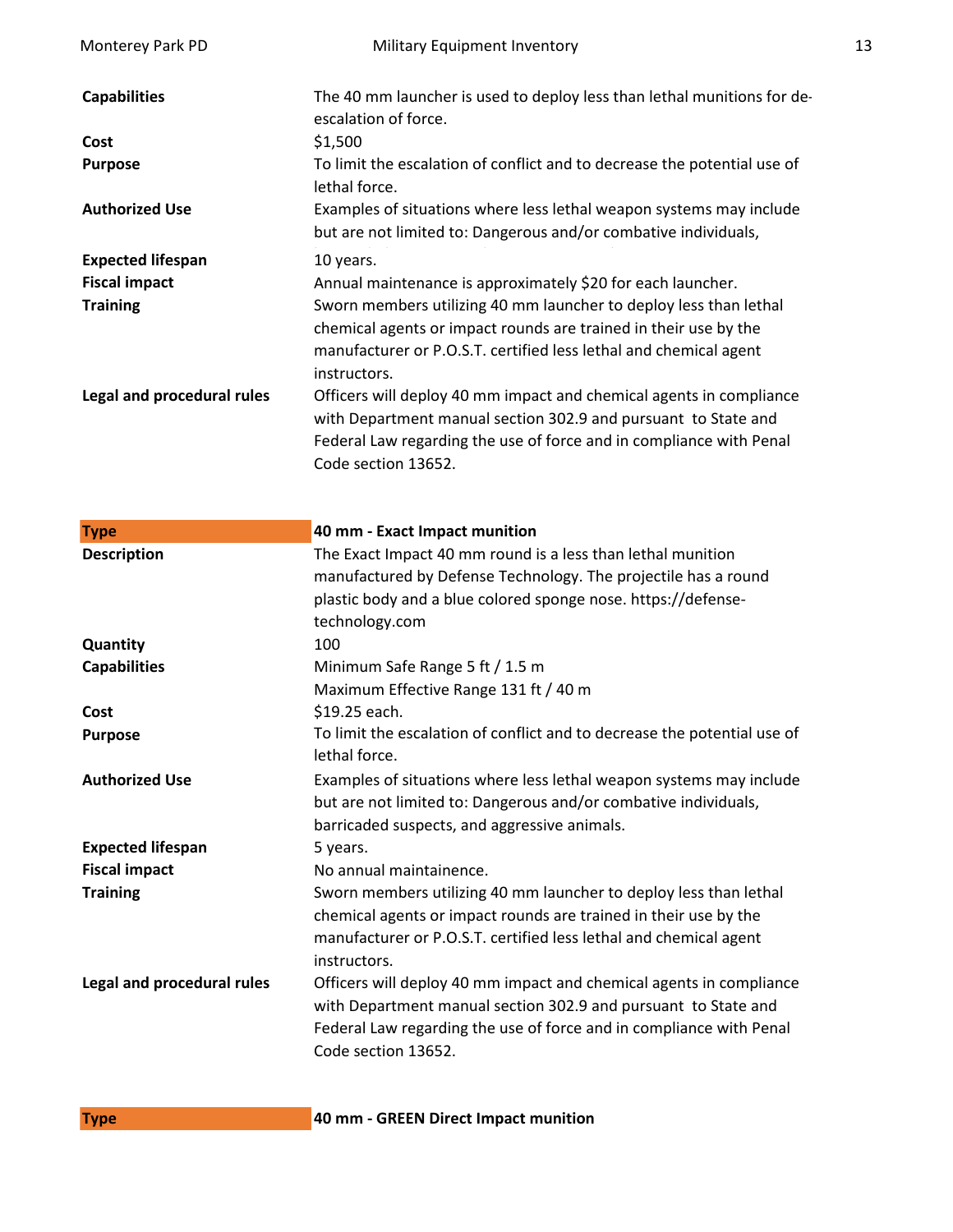| Monterey Park PD           | Military Equipment Inventory                                                                                                           | 13 |
|----------------------------|----------------------------------------------------------------------------------------------------------------------------------------|----|
| <b>Capabilities</b>        | The 40 mm launcher is used to deploy less than lethal munitions for de-<br>escalation of force.                                        |    |
| Cost                       | \$1,500                                                                                                                                |    |
| <b>Purpose</b>             | To limit the escalation of conflict and to decrease the potential use of<br>lethal force.                                              |    |
| <b>Authorized Use</b>      | Examples of situations where less lethal weapon systems may include<br>but are not limited to: Dangerous and/or combative individuals, |    |
| <b>Expected lifespan</b>   | 10 years.                                                                                                                              |    |
| <b>Fiscal impact</b>       | Annual maintenance is approximately \$20 for each launcher.                                                                            |    |
| <b>Training</b>            | Sworn members utilizing 40 mm launcher to deploy less than lethal                                                                      |    |
|                            | chemical agents or impact rounds are trained in their use by the                                                                       |    |
|                            | manufacturer or P.O.S.T. certified less lethal and chemical agent<br>instructors.                                                      |    |
| Legal and procedural rules | Officers will deploy 40 mm impact and chemical agents in compliance                                                                    |    |
|                            | with Department manual section 302.9 and pursuant to State and                                                                         |    |
|                            | Federal Law regarding the use of force and in compliance with Penal                                                                    |    |
|                            | Code section 13652.                                                                                                                    |    |
|                            |                                                                                                                                        |    |
|                            |                                                                                                                                        |    |
| <b>Type</b>                | 40 mm - Exact Impact munition                                                                                                          |    |
| <b>Description</b>         | The Exact Impact 40 mm round is a less than lethal munition                                                                            |    |
|                            | manufactured by Defense Technology. The projectile has a round                                                                         |    |
|                            |                                                                                                                                        |    |
|                            | plastic body and a blue colored sponge nose. https://defense-                                                                          |    |
|                            | technology.com                                                                                                                         |    |
| Quantity                   | 100                                                                                                                                    |    |
| <b>Capabilities</b>        | Minimum Safe Range 5 ft / 1.5 m                                                                                                        |    |
|                            | Maximum Effective Range 131 ft / 40 m                                                                                                  |    |
| Cost                       | \$19.25 each.                                                                                                                          |    |
| <b>Purpose</b>             | To limit the escalation of conflict and to decrease the potential use of                                                               |    |
|                            | lethal force.                                                                                                                          |    |
| <b>Authorized Use</b>      |                                                                                                                                        |    |
|                            | Examples of situations where less lethal weapon systems may include                                                                    |    |
|                            | but are not limited to: Dangerous and/or combative individuals,                                                                        |    |
|                            | barricaded suspects, and aggressive animals.                                                                                           |    |
| <b>Expected lifespan</b>   | 5 years.                                                                                                                               |    |
| <b>Fiscal impact</b>       | No annual maintainence.                                                                                                                |    |
| <b>Training</b>            | Sworn members utilizing 40 mm launcher to deploy less than lethal                                                                      |    |
|                            | chemical agents or impact rounds are trained in their use by the                                                                       |    |
|                            | manufacturer or P.O.S.T. certified less lethal and chemical agent                                                                      |    |
|                            | instructors.                                                                                                                           |    |
| Legal and procedural rules | Officers will deploy 40 mm impact and chemical agents in compliance                                                                    |    |
|                            | with Department manual section 302.9 and pursuant to State and                                                                         |    |
|                            | Federal Law regarding the use of force and in compliance with Penal<br>Code section 13652.                                             |    |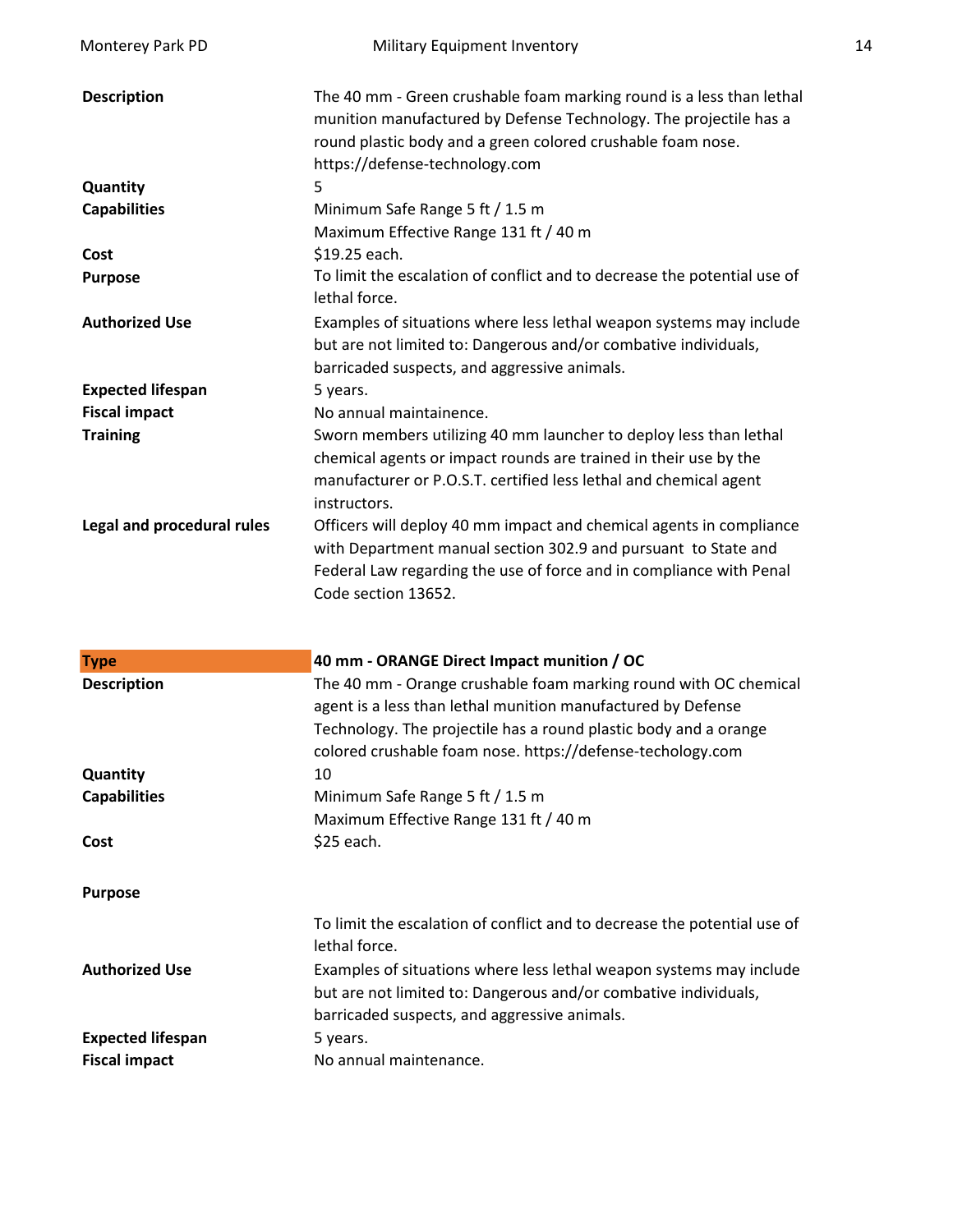| Monterey Park PD                                 | Military Equipment Inventory                                                                                                                                                                                                                                       | 14 |
|--------------------------------------------------|--------------------------------------------------------------------------------------------------------------------------------------------------------------------------------------------------------------------------------------------------------------------|----|
| <b>Description</b>                               | The 40 mm - Green crushable foam marking round is a less than lethal<br>munition manufactured by Defense Technology. The projectile has a<br>round plastic body and a green colored crushable foam nose.<br>https://defense-technology.com                         |    |
| Quantity                                         | 5                                                                                                                                                                                                                                                                  |    |
| <b>Capabilities</b>                              | Minimum Safe Range 5 ft / 1.5 m<br>Maximum Effective Range 131 ft / 40 m                                                                                                                                                                                           |    |
| Cost                                             | \$19.25 each.                                                                                                                                                                                                                                                      |    |
| <b>Purpose</b>                                   | To limit the escalation of conflict and to decrease the potential use of<br>lethal force.                                                                                                                                                                          |    |
| <b>Authorized Use</b>                            | Examples of situations where less lethal weapon systems may include<br>but are not limited to: Dangerous and/or combative individuals,<br>barricaded suspects, and aggressive animals.                                                                             |    |
| <b>Expected lifespan</b>                         | 5 years.                                                                                                                                                                                                                                                           |    |
| <b>Fiscal impact</b>                             | No annual maintainence.                                                                                                                                                                                                                                            |    |
| <b>Training</b>                                  | Sworn members utilizing 40 mm launcher to deploy less than lethal<br>chemical agents or impact rounds are trained in their use by the<br>manufacturer or P.O.S.T. certified less lethal and chemical agent<br>instructors.                                         |    |
| Legal and procedural rules                       | Officers will deploy 40 mm impact and chemical agents in compliance<br>with Department manual section 302.9 and pursuant to State and<br>Federal Law regarding the use of force and in compliance with Penal<br>Code section 13652.                                |    |
| <b>Type</b>                                      | 40 mm - ORANGE Direct Impact munition / OC                                                                                                                                                                                                                         |    |
| <b>Description</b>                               | The 40 mm - Orange crushable foam marking round with OC chemical<br>agent is a less than lethal munition manufactured by Defense<br>Technology. The projectile has a round plastic body and a orange<br>colored crushable foam nose. https://defense-techology.com |    |
| Quantity                                         | 10                                                                                                                                                                                                                                                                 |    |
| <b>Capabilities</b>                              | Minimum Safe Range 5 ft / 1.5 m<br>Maximum Effective Range 131 ft / 40 m                                                                                                                                                                                           |    |
| Cost                                             | \$25 each.                                                                                                                                                                                                                                                         |    |
| <b>Purpose</b>                                   |                                                                                                                                                                                                                                                                    |    |
| <b>Authorized Use</b>                            | To limit the escalation of conflict and to decrease the potential use of<br>lethal force.<br>Examples of situations where less lethal weapon systems may include                                                                                                   |    |
|                                                  | but are not limited to: Dangerous and/or combative individuals,<br>barricaded suspects, and aggressive animals.                                                                                                                                                    |    |
| <b>Expected lifespan</b><br><b>Fiscal impact</b> | 5 years.<br>No annual maintenance.                                                                                                                                                                                                                                 |    |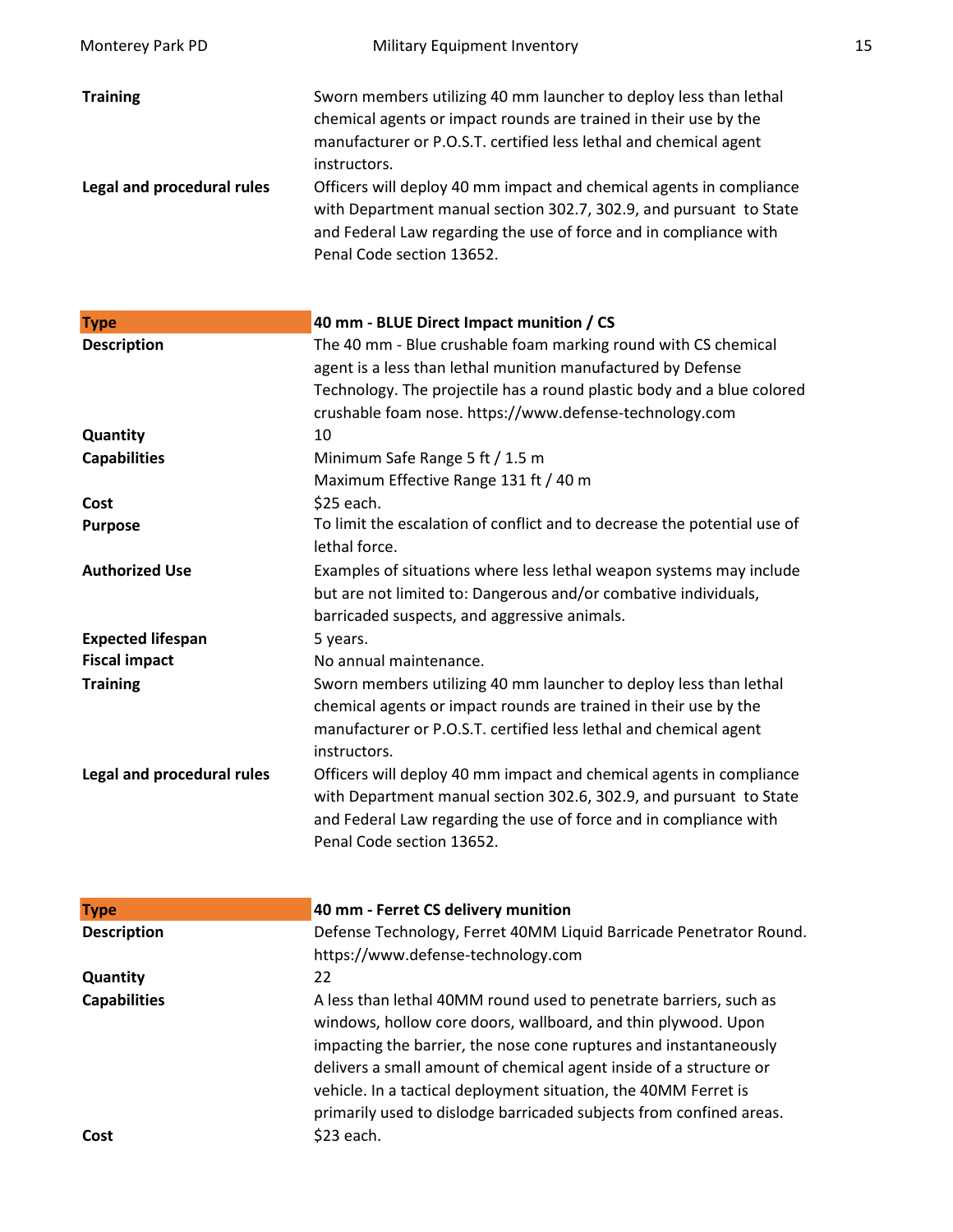| Monterey Park PD           | Military Equipment Inventory                                                                                                                                                                                                                                                                                                                                                                                                          | 15 |
|----------------------------|---------------------------------------------------------------------------------------------------------------------------------------------------------------------------------------------------------------------------------------------------------------------------------------------------------------------------------------------------------------------------------------------------------------------------------------|----|
| <b>Training</b>            | Sworn members utilizing 40 mm launcher to deploy less than lethal<br>chemical agents or impact rounds are trained in their use by the<br>manufacturer or P.O.S.T. certified less lethal and chemical agent<br>instructors.                                                                                                                                                                                                            |    |
| Legal and procedural rules | Officers will deploy 40 mm impact and chemical agents in compliance<br>with Department manual section 302.7, 302.9, and pursuant to State<br>and Federal Law regarding the use of force and in compliance with<br>Penal Code section 13652.                                                                                                                                                                                           |    |
| <b>Type</b>                | 40 mm - BLUE Direct Impact munition / CS                                                                                                                                                                                                                                                                                                                                                                                              |    |
| <b>Description</b>         | The 40 mm - Blue crushable foam marking round with CS chemical<br>agent is a less than lethal munition manufactured by Defense<br>Technology. The projectile has a round plastic body and a blue colored<br>crushable foam nose. https://www.defense-technology.com                                                                                                                                                                   |    |
| Quantity                   | 10                                                                                                                                                                                                                                                                                                                                                                                                                                    |    |
| <b>Capabilities</b>        | Minimum Safe Range 5 ft / 1.5 m<br>Maximum Effective Range 131 ft / 40 m                                                                                                                                                                                                                                                                                                                                                              |    |
| Cost                       | \$25 each.                                                                                                                                                                                                                                                                                                                                                                                                                            |    |
| <b>Purpose</b>             | To limit the escalation of conflict and to decrease the potential use of<br>lethal force.                                                                                                                                                                                                                                                                                                                                             |    |
| <b>Authorized Use</b>      | Examples of situations where less lethal weapon systems may include<br>but are not limited to: Dangerous and/or combative individuals,<br>barricaded suspects, and aggressive animals.                                                                                                                                                                                                                                                |    |
| <b>Expected lifespan</b>   | 5 years.                                                                                                                                                                                                                                                                                                                                                                                                                              |    |
| <b>Fiscal impact</b>       | No annual maintenance.                                                                                                                                                                                                                                                                                                                                                                                                                |    |
| <b>Training</b>            | Sworn members utilizing 40 mm launcher to deploy less than lethal<br>chemical agents or impact rounds are trained in their use by the<br>manufacturer or P.O.S.T. certified less lethal and chemical agent<br>instructors.                                                                                                                                                                                                            |    |
| Legal and procedural rules | Officers will deploy 40 mm impact and chemical agents in compliance<br>with Department manual section 302.6, 302.9, and pursuant to State<br>and Federal Law regarding the use of force and in compliance with<br>Penal Code section 13652.                                                                                                                                                                                           |    |
| <b>Type</b>                | 40 mm - Ferret CS delivery munition                                                                                                                                                                                                                                                                                                                                                                                                   |    |
| <b>Description</b>         | Defense Technology, Ferret 40MM Liquid Barricade Penetrator Round.<br>https://www.defense-technology.com                                                                                                                                                                                                                                                                                                                              |    |
| Quantity                   | 22                                                                                                                                                                                                                                                                                                                                                                                                                                    |    |
| <b>Capabilities</b>        | A less than lethal 40MM round used to penetrate barriers, such as<br>windows, hollow core doors, wallboard, and thin plywood. Upon<br>impacting the barrier, the nose cone ruptures and instantaneously<br>delivers a small amount of chemical agent inside of a structure or<br>vehicle. In a tactical deployment situation, the 40MM Ferret is<br>primarily used to dislodge barricaded subjects from confined areas.<br>\$23 each. |    |
| Cost                       |                                                                                                                                                                                                                                                                                                                                                                                                                                       |    |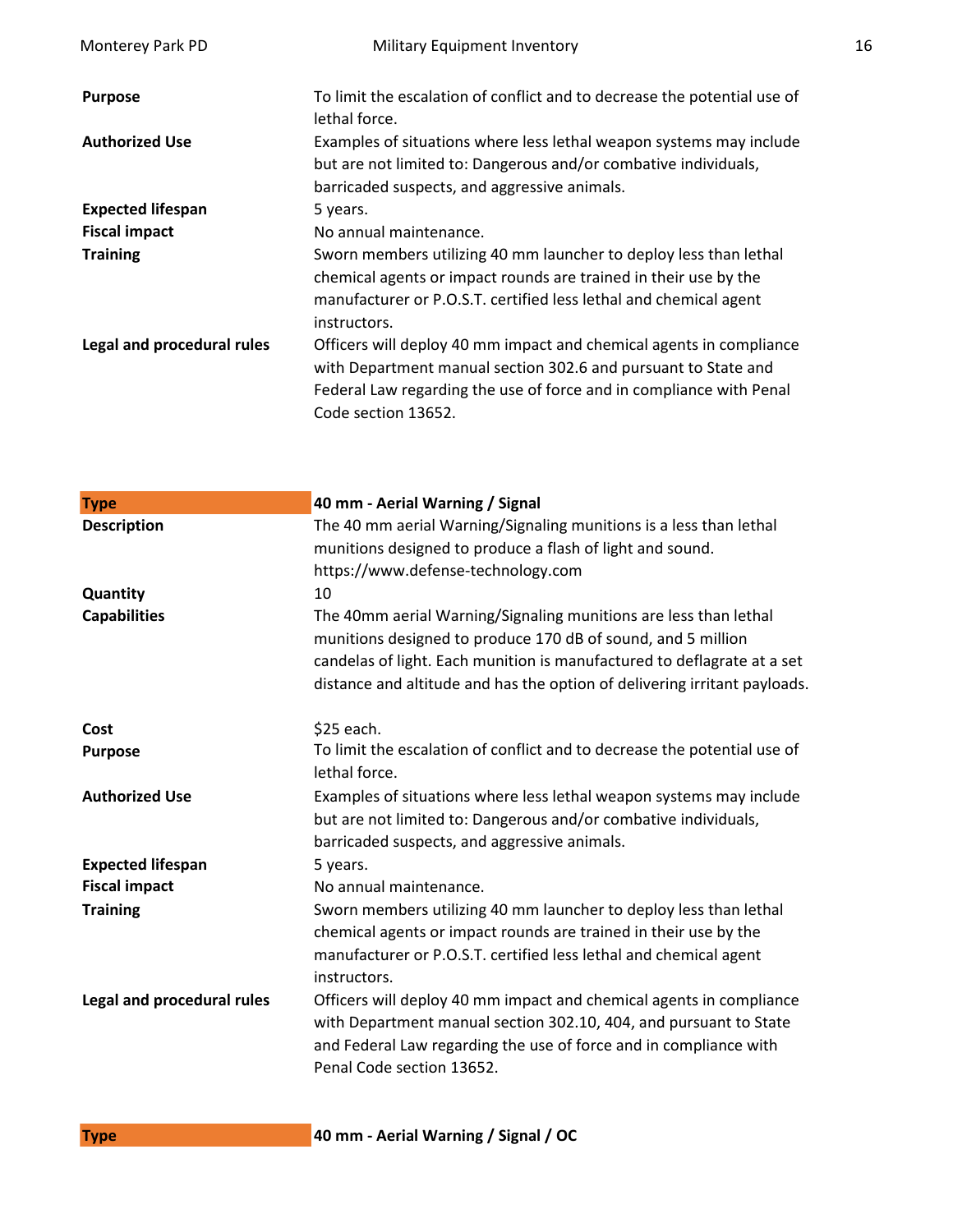| Monterey Park PD           | Military Equipment Inventory                                                                                                                                                                                                        | 16 |
|----------------------------|-------------------------------------------------------------------------------------------------------------------------------------------------------------------------------------------------------------------------------------|----|
| <b>Purpose</b>             | To limit the escalation of conflict and to decrease the potential use of<br>lethal force.                                                                                                                                           |    |
| <b>Authorized Use</b>      | Examples of situations where less lethal weapon systems may include<br>but are not limited to: Dangerous and/or combative individuals,<br>barricaded suspects, and aggressive animals.                                              |    |
| <b>Expected lifespan</b>   | 5 years.                                                                                                                                                                                                                            |    |
| <b>Fiscal impact</b>       | No annual maintenance.                                                                                                                                                                                                              |    |
| <b>Training</b>            | Sworn members utilizing 40 mm launcher to deploy less than lethal<br>chemical agents or impact rounds are trained in their use by the<br>manufacturer or P.O.S.T. certified less lethal and chemical agent<br>instructors.          |    |
| Legal and procedural rules | Officers will deploy 40 mm impact and chemical agents in compliance<br>with Department manual section 302.6 and pursuant to State and<br>Federal Law regarding the use of force and in compliance with Penal<br>Code section 13652. |    |

| <b>Type</b>                | 40 mm - Aerial Warning / Signal                                                                                                                                                                                                            |
|----------------------------|--------------------------------------------------------------------------------------------------------------------------------------------------------------------------------------------------------------------------------------------|
| <b>Description</b>         | The 40 mm aerial Warning/Signaling munitions is a less than lethal                                                                                                                                                                         |
|                            | munitions designed to produce a flash of light and sound.                                                                                                                                                                                  |
|                            | https://www.defense-technology.com                                                                                                                                                                                                         |
| Quantity                   | 10                                                                                                                                                                                                                                         |
| <b>Capabilities</b>        | The 40mm aerial Warning/Signaling munitions are less than lethal<br>munitions designed to produce 170 dB of sound, and 5 million                                                                                                           |
|                            | candelas of light. Each munition is manufactured to deflagrate at a set<br>distance and altitude and has the option of delivering irritant payloads.                                                                                       |
| Cost                       | \$25 each.                                                                                                                                                                                                                                 |
| <b>Purpose</b>             | To limit the escalation of conflict and to decrease the potential use of<br>lethal force.                                                                                                                                                  |
| <b>Authorized Use</b>      | Examples of situations where less lethal weapon systems may include<br>but are not limited to: Dangerous and/or combative individuals,<br>barricaded suspects, and aggressive animals.                                                     |
| <b>Expected lifespan</b>   | 5 years.                                                                                                                                                                                                                                   |
| <b>Fiscal impact</b>       | No annual maintenance.                                                                                                                                                                                                                     |
| <b>Training</b>            | Sworn members utilizing 40 mm launcher to deploy less than lethal<br>chemical agents or impact rounds are trained in their use by the<br>manufacturer or P.O.S.T. certified less lethal and chemical agent<br>instructors.                 |
| Legal and procedural rules | Officers will deploy 40 mm impact and chemical agents in compliance<br>with Department manual section 302.10, 404, and pursuant to State<br>and Federal Law regarding the use of force and in compliance with<br>Penal Code section 13652. |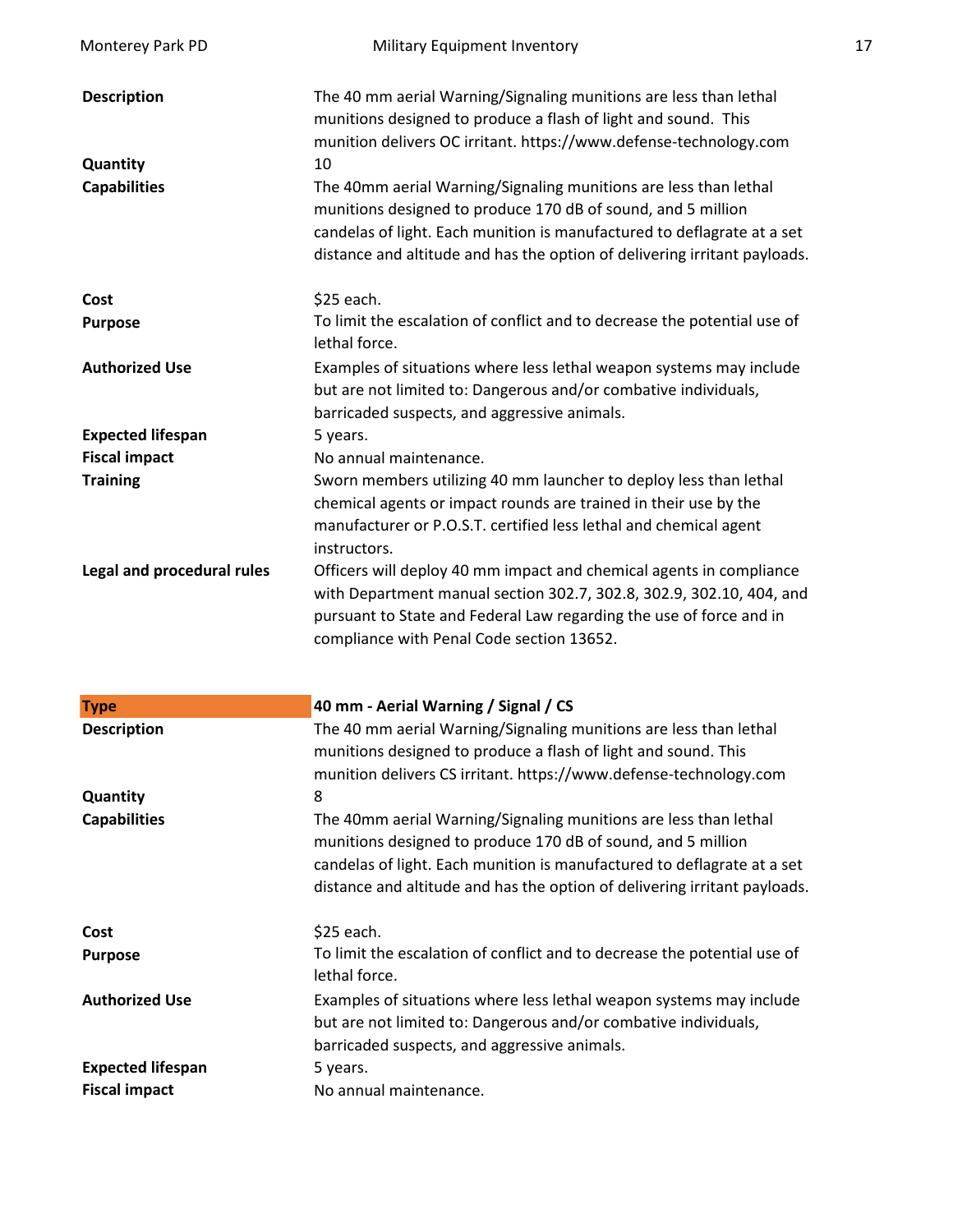| Monterey Park PD                                      | <b>Military Equipment Inventory</b>                                                                                                                                                                                                                                                                                                                                                                                                                                                                        | 17 |
|-------------------------------------------------------|------------------------------------------------------------------------------------------------------------------------------------------------------------------------------------------------------------------------------------------------------------------------------------------------------------------------------------------------------------------------------------------------------------------------------------------------------------------------------------------------------------|----|
| <b>Description</b><br>Quantity<br><b>Capabilities</b> | The 40 mm aerial Warning/Signaling munitions are less than lethal<br>munitions designed to produce a flash of light and sound. This<br>munition delivers OC irritant. https://www.defense-technology.com<br>10<br>The 40mm aerial Warning/Signaling munitions are less than lethal<br>munitions designed to produce 170 dB of sound, and 5 million<br>candelas of light. Each munition is manufactured to deflagrate at a set<br>distance and altitude and has the option of delivering irritant payloads. |    |
| Cost                                                  | \$25 each.                                                                                                                                                                                                                                                                                                                                                                                                                                                                                                 |    |
| <b>Purpose</b>                                        | To limit the escalation of conflict and to decrease the potential use of<br>lethal force.                                                                                                                                                                                                                                                                                                                                                                                                                  |    |
| <b>Authorized Use</b>                                 | Examples of situations where less lethal weapon systems may include<br>but are not limited to: Dangerous and/or combative individuals,<br>barricaded suspects, and aggressive animals.                                                                                                                                                                                                                                                                                                                     |    |
| <b>Expected lifespan</b>                              | 5 years.                                                                                                                                                                                                                                                                                                                                                                                                                                                                                                   |    |
| <b>Fiscal impact</b><br><b>Training</b>               | No annual maintenance.<br>Sworn members utilizing 40 mm launcher to deploy less than lethal<br>chemical agents or impact rounds are trained in their use by the<br>manufacturer or P.O.S.T. certified less lethal and chemical agent<br>instructors.                                                                                                                                                                                                                                                       |    |
| Legal and procedural rules                            | Officers will deploy 40 mm impact and chemical agents in compliance<br>with Department manual section 302.7, 302.8, 302.9, 302.10, 404, and<br>pursuant to State and Federal Law regarding the use of force and in<br>compliance with Penal Code section 13652.                                                                                                                                                                                                                                            |    |
| <b>Type</b>                                           | 40 mm - Aerial Warning / Signal / CS                                                                                                                                                                                                                                                                                                                                                                                                                                                                       |    |
| <b>Description</b>                                    | The 40 mm aerial Warning/Signaling munitions are less than lethal<br>munitions designed to produce a flash of light and sound. This<br>munition delivers CS irritant. https://www.defense-technology.com                                                                                                                                                                                                                                                                                                   |    |
| Quantity                                              | 8                                                                                                                                                                                                                                                                                                                                                                                                                                                                                                          |    |
| <b>Capabilities</b>                                   | The 40mm aerial Warning/Signaling munitions are less than lethal<br>munitions designed to produce 170 dB of sound, and 5 million<br>candelas of light. Each munition is manufactured to deflagrate at a set<br>distance and altitude and has the option of delivering irritant payloads.                                                                                                                                                                                                                   |    |
| Cost                                                  | \$25 each.                                                                                                                                                                                                                                                                                                                                                                                                                                                                                                 |    |
| <b>Purpose</b>                                        | To limit the escalation of conflict and to decrease the potential use of<br>lethal force.                                                                                                                                                                                                                                                                                                                                                                                                                  |    |
| <b>Authorized Use</b>                                 | Examples of situations where less lethal weapon systems may include<br>but are not limited to: Dangerous and/or combative individuals,<br>barricaded suspects, and aggressive animals.                                                                                                                                                                                                                                                                                                                     |    |
| <b>Expected lifespan</b><br><b>Fiscal impact</b>      | 5 years.<br>No annual maintenance.                                                                                                                                                                                                                                                                                                                                                                                                                                                                         |    |